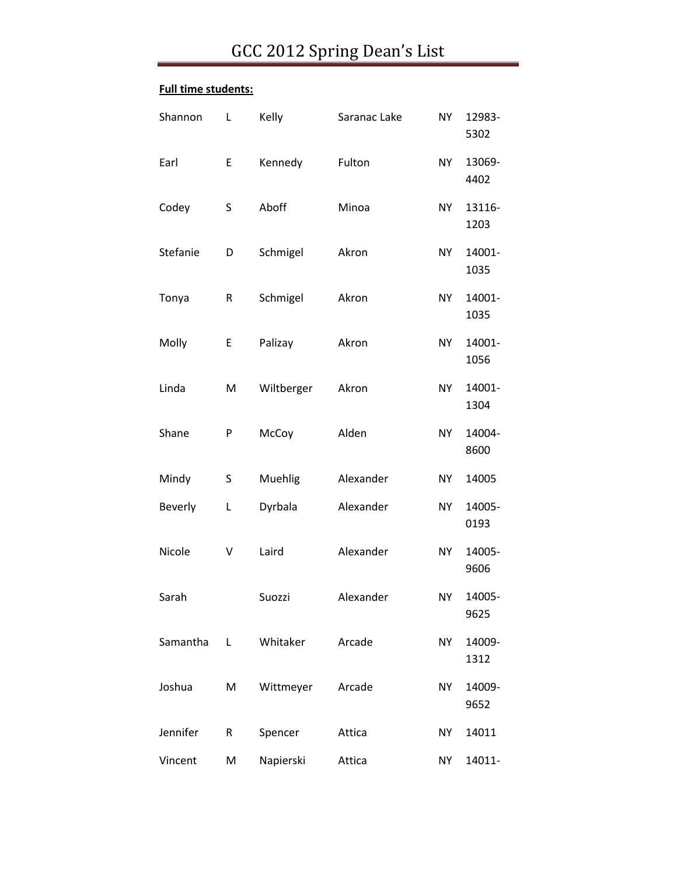#### **Full time students:**

| Shannon  | L  | Kelly      | Saranac Lake | <b>NY</b> | 12983-<br>5302 |
|----------|----|------------|--------------|-----------|----------------|
| Earl     | E  | Kennedy    | Fulton       | <b>NY</b> | 13069-<br>4402 |
| Codey    | S  | Aboff      | Minoa        | <b>NY</b> | 13116-<br>1203 |
| Stefanie | D  | Schmigel   | Akron        | <b>NY</b> | 14001-<br>1035 |
| Tonya    | R  | Schmigel   | Akron        | NY        | 14001-<br>1035 |
| Molly    | E. | Palizay    | Akron        | <b>NY</b> | 14001-<br>1056 |
| Linda    | M  | Wiltberger | Akron        | <b>NY</b> | 14001-<br>1304 |
| Shane    | P  | McCoy      | Alden        | <b>NY</b> | 14004-<br>8600 |
| Mindy    | S  | Muehlig    | Alexander    | <b>NY</b> | 14005          |
| Beverly  | L  | Dyrbala    | Alexander    | <b>NY</b> | 14005-<br>0193 |
| Nicole   | V  | Laird      | Alexander    | <b>NY</b> | 14005-<br>9606 |
| Sarah    |    | Suozzi     | Alexander    | NY        | 14005-<br>9625 |
| Samantha | L  | Whitaker   | Arcade       | <b>NY</b> | 14009-<br>1312 |
| Joshua   | M  | Wittmeyer  | Arcade       | <b>NY</b> | 14009-<br>9652 |
| Jennifer | R  | Spencer    | Attica       | <b>NY</b> | 14011          |
| Vincent  | M  | Napierski  | Attica       | NY        | 14011-         |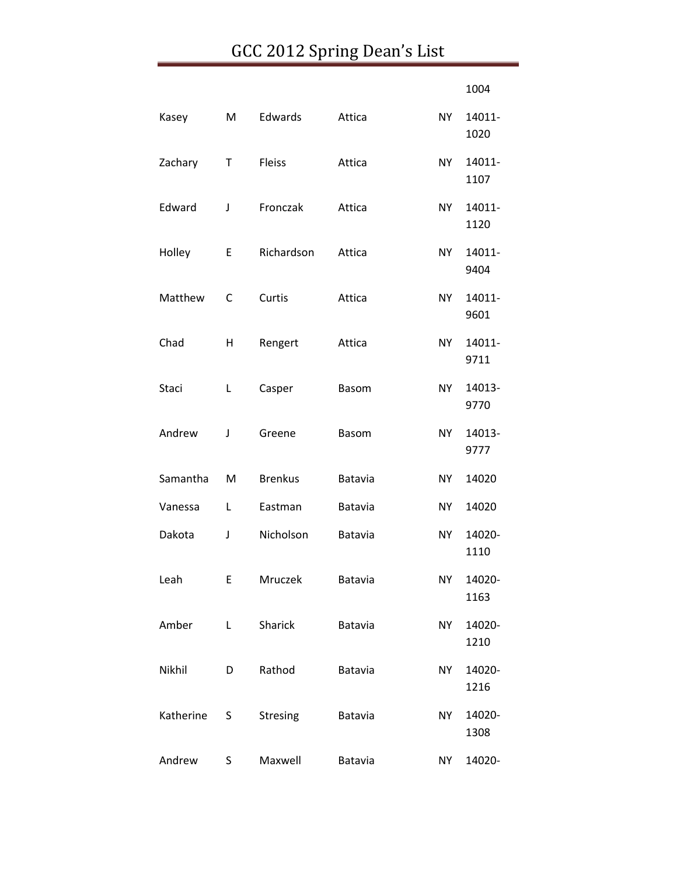|           |   |                 |                |           | 1004           |
|-----------|---|-----------------|----------------|-----------|----------------|
| Kasey     | M | Edwards         | Attica         | NY        | 14011-<br>1020 |
| Zachary   | Τ | Fleiss          | Attica         | NY        | 14011-<br>1107 |
| Edward    | J | Fronczak        | Attica         | NY.       | 14011-<br>1120 |
| Holley    | E | Richardson      | Attica         | NY        | 14011-<br>9404 |
| Matthew   | C | Curtis          | Attica         | NY        | 14011-<br>9601 |
| Chad      | Η | Rengert         | Attica         | <b>NY</b> | 14011-<br>9711 |
| Staci     | L | Casper          | <b>Basom</b>   | NY.       | 14013-<br>9770 |
| Andrew    | J | Greene          | <b>Basom</b>   | NY        | 14013-<br>9777 |
| Samantha  | M | <b>Brenkus</b>  | Batavia        | NY        | 14020          |
| Vanessa   | L | Eastman         | Batavia        | <b>NY</b> | 14020          |
| Dakota    | J | Nicholson       | Batavia        | NY        | 14020-<br>1110 |
| Leah      | E | Mruczek         | <b>Batavia</b> | NY I      | 14020-<br>1163 |
| Amber     | L | Sharick         | Batavia        | <b>NY</b> | 14020-<br>1210 |
| Nikhil    | D | Rathod          | Batavia        | <b>NY</b> | 14020-<br>1216 |
| Katherine | S | <b>Stresing</b> | Batavia        | <b>NY</b> | 14020-<br>1308 |
| Andrew    | S | Maxwell         | Batavia        | NY        | 14020-         |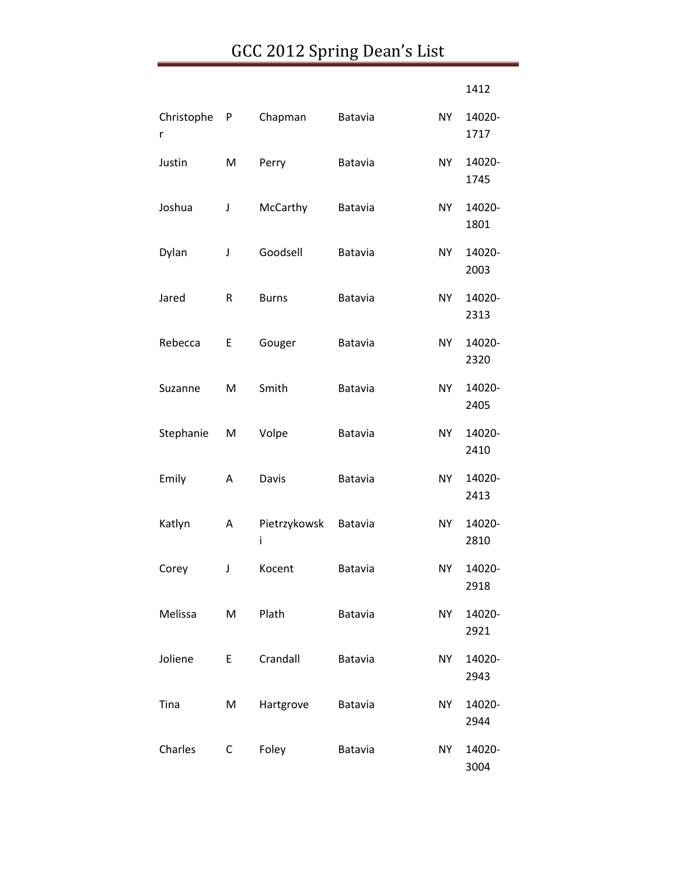|                 |             |                   |                |           | 1412           |
|-----------------|-------------|-------------------|----------------|-----------|----------------|
| Christophe<br>r | P           | Chapman           | Batavia        | NY        | 14020-<br>1717 |
| Justin          | M           | Perry             | Batavia        | <b>NY</b> | 14020-<br>1745 |
| Joshua          | $\mathsf J$ | McCarthy          | Batavia        | NY        | 14020-<br>1801 |
| Dylan           | J           | Goodsell          | Batavia        | <b>NY</b> | 14020-<br>2003 |
| Jared           | R           | <b>Burns</b>      | Batavia        | <b>NY</b> | 14020-<br>2313 |
| Rebecca         | E           | Gouger            | Batavia        | <b>NY</b> | 14020-<br>2320 |
| Suzanne         | M           | Smith             | Batavia        | <b>NY</b> | 14020-<br>2405 |
| Stephanie       | M           | Volpe             | Batavia        | NY        | 14020-<br>2410 |
| Emily           | A           | Davis             | Batavia        | <b>NY</b> | 14020-<br>2413 |
| Katlyn          | A           | Pietrzykowsk<br>i | Batavia        | <b>NY</b> | 14020-<br>2810 |
| Corey           | J           | Kocent            | Batavia        | <b>NY</b> | 14020-<br>2918 |
| Melissa         | М           | Plath             | <b>Batavia</b> | <b>NY</b> | 14020-<br>2921 |
| Joliene         | E           | Crandall          | Batavia        | <b>NY</b> | 14020-<br>2943 |
| Tina            | M           | Hartgrove         | Batavia        | <b>NY</b> | 14020-<br>2944 |
| Charles         | C           | Foley             | Batavia        | <b>NY</b> | 14020-<br>3004 |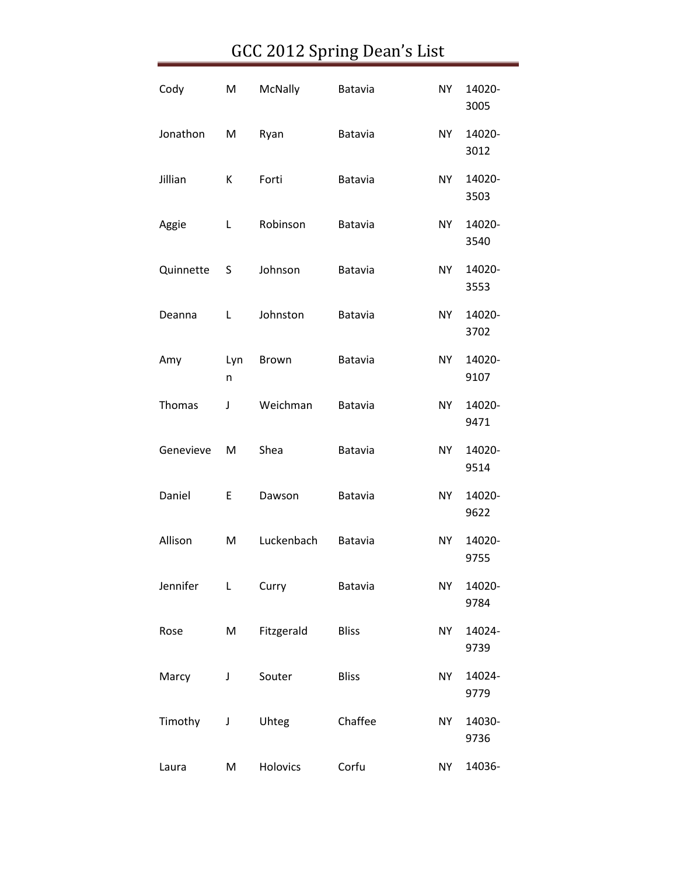| Cody      | M        | McNally    | Batavia      | <b>NY</b> | 14020-<br>3005 |
|-----------|----------|------------|--------------|-----------|----------------|
| Jonathon  | M        | Ryan       | Batavia      | <b>NY</b> | 14020-<br>3012 |
| Jillian   | К        | Forti      | Batavia      | <b>NY</b> | 14020-<br>3503 |
| Aggie     | L        | Robinson   | Batavia      | <b>NY</b> | 14020-<br>3540 |
| Quinnette | S        | Johnson    | Batavia      | <b>NY</b> | 14020-<br>3553 |
| Deanna    | Г        | Johnston   | Batavia      | <b>NY</b> | 14020-<br>3702 |
| Amy       | Lyn<br>n | Brown      | Batavia      | <b>NY</b> | 14020-<br>9107 |
| Thomas    | J        | Weichman   | Batavia      | <b>NY</b> | 14020-<br>9471 |
| Genevieve | M        | Shea       | Batavia      | <b>NY</b> | 14020-<br>9514 |
| Daniel    | E        | Dawson     | Batavia      | NY.       | 14020-<br>9622 |
| Allison   | M        | Luckenbach | Batavia      | <b>NY</b> | 14020-<br>9755 |
| Jennifer  | L        | Curry      | Batavia      | <b>NY</b> | 14020-<br>9784 |
| Rose      | M        | Fitzgerald | <b>Bliss</b> | <b>NY</b> | 14024-<br>9739 |
| Marcy     | J        | Souter     | <b>Bliss</b> | <b>NY</b> | 14024-<br>9779 |
| Timothy   | J        | Uhteg      | Chaffee      | <b>NY</b> | 14030-<br>9736 |
| Laura     | M        | Holovics   | Corfu        | <b>NY</b> | 14036-         |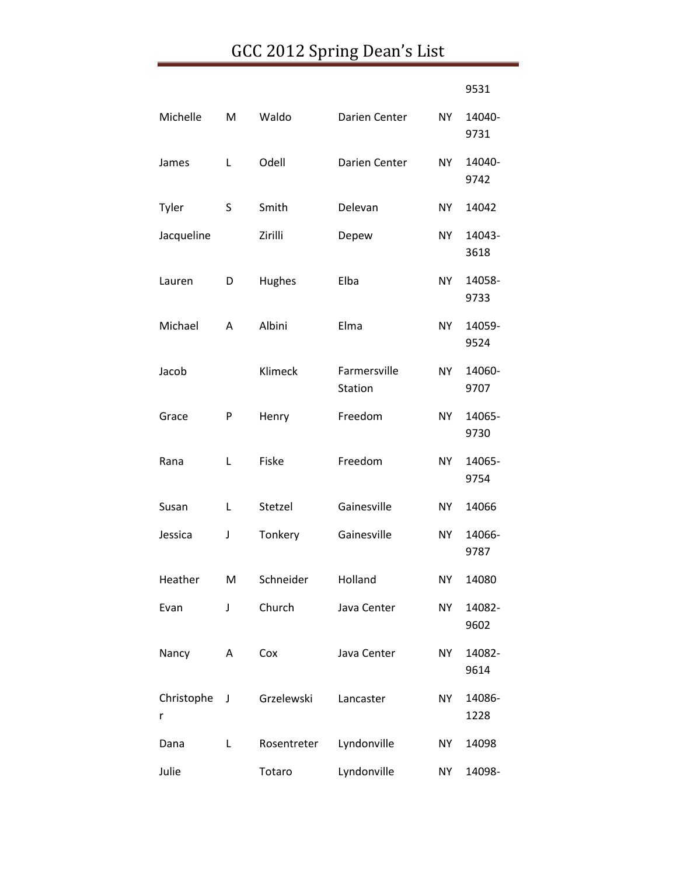|                 |   |             |                         |           | 9531           |
|-----------------|---|-------------|-------------------------|-----------|----------------|
| Michelle        | M | Waldo       | Darien Center           | NY.       | 14040-<br>9731 |
| James           | Г | Odell       | Darien Center           | NY.       | 14040-<br>9742 |
| Tyler           | S | Smith       | Delevan                 | NΥ        | 14042          |
| Jacqueline      |   | Zirilli     | Depew                   | NY.       | 14043-<br>3618 |
| Lauren          | D | Hughes      | Elba                    | <b>NY</b> | 14058-<br>9733 |
| Michael         | A | Albini      | Elma                    | NY.       | 14059-<br>9524 |
| Jacob           |   | Klimeck     | Farmersville<br>Station | <b>NY</b> | 14060-<br>9707 |
| Grace           | P | Henry       | Freedom                 | NY        | 14065-<br>9730 |
| Rana            | L | Fiske       | Freedom                 | NΥ        | 14065-<br>9754 |
| Susan           | L | Stetzel     | Gainesville             | NY.       | 14066          |
| Jessica         | J | Tonkery     | Gainesville             | NY        | 14066-<br>9787 |
| Heather         | M | Schneider   | Holland                 | NΥ        | 14080          |
| Evan            | J | Church      | Java Center             | <b>NY</b> | 14082-<br>9602 |
| Nancy           | Α | Cox         | Java Center             | NY        | 14082-<br>9614 |
| Christophe<br>r | J | Grzelewski  | Lancaster               | <b>NY</b> | 14086-<br>1228 |
| Dana            | L | Rosentreter | Lyndonville             | NY        | 14098          |
| Julie           |   | Totaro      | Lyndonville             | NY        | 14098-         |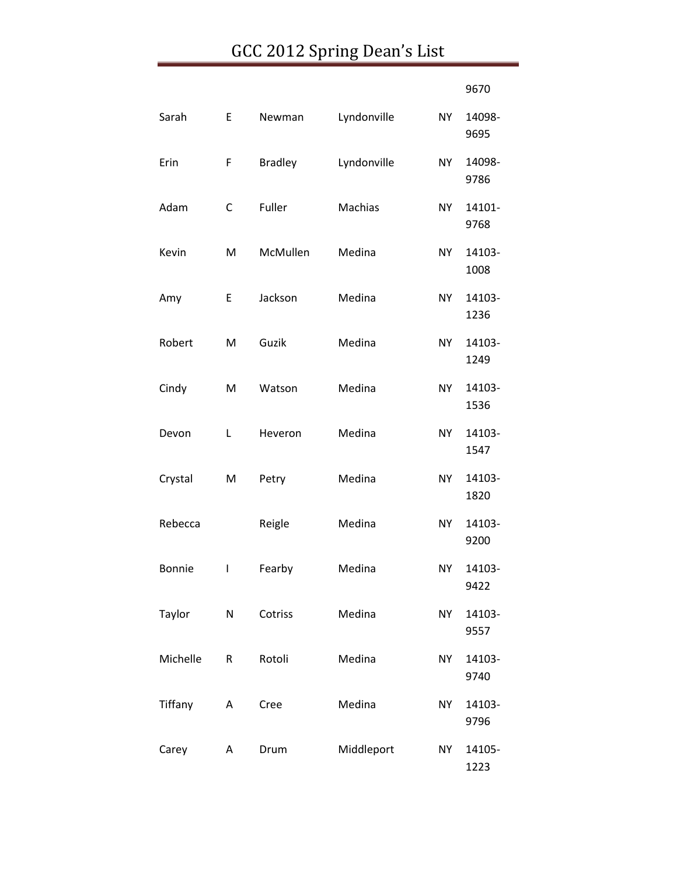|               |   |                |             |           | 9670           |
|---------------|---|----------------|-------------|-----------|----------------|
| Sarah         | E | Newman         | Lyndonville | <b>NY</b> | 14098-<br>9695 |
| Erin          | F | <b>Bradley</b> | Lyndonville | <b>NY</b> | 14098-<br>9786 |
| Adam          | С | Fuller         | Machias     | NY.       | 14101-<br>9768 |
| Kevin         | M | McMullen       | Medina      | <b>NY</b> | 14103-<br>1008 |
| Amy           | E | Jackson        | Medina      | <b>NY</b> | 14103-<br>1236 |
| Robert        | M | Guzik          | Medina      | <b>NY</b> | 14103-<br>1249 |
| Cindy         | M | Watson         | Medina      | NY        | 14103-<br>1536 |
| Devon         | Г | Heveron        | Medina      | <b>NY</b> | 14103-<br>1547 |
| Crystal       | M | Petry          | Medina      | <b>NY</b> | 14103-<br>1820 |
| Rebecca       |   | Reigle         | Medina      | NY.       | 14103-<br>9200 |
| <b>Bonnie</b> | I | Fearby         | Medina      | <b>NY</b> | 14103-<br>9422 |
| Taylor        | N | Cotriss        | Medina      | <b>NY</b> | 14103-<br>9557 |
| Michelle      | R | Rotoli         | Medina      | <b>NY</b> | 14103-<br>9740 |
| Tiffany       | Α | Cree           | Medina      | NY.       | 14103-<br>9796 |
| Carey         | Α | Drum           | Middleport  | NY.       | 14105-<br>1223 |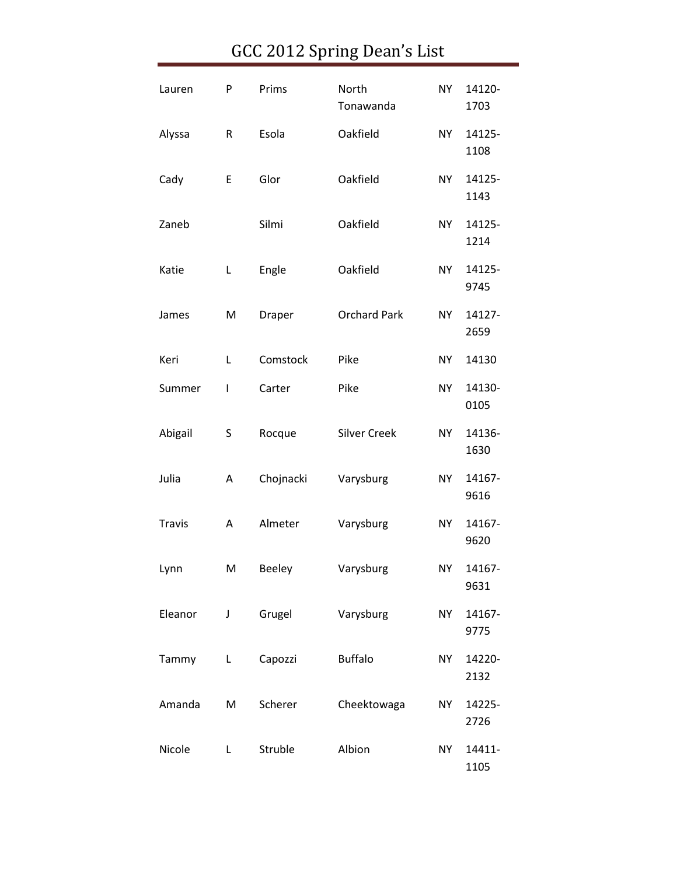| Lauren        | P           | Prims     | North<br>Tonawanda  | <b>NY</b> | 14120-<br>1703 |
|---------------|-------------|-----------|---------------------|-----------|----------------|
| Alyssa        | R           | Esola     | Oakfield            | <b>NY</b> | 14125-<br>1108 |
| Cady          | E           | Glor      | Oakfield            | <b>NY</b> | 14125-<br>1143 |
| Zaneb         |             | Silmi     | Oakfield            | <b>NY</b> | 14125-<br>1214 |
| Katie         | Г           | Engle     | Oakfield            | <b>NY</b> | 14125-<br>9745 |
| James         | M           | Draper    | <b>Orchard Park</b> | <b>NY</b> | 14127-<br>2659 |
| Keri          | L           | Comstock  | Pike                | <b>NY</b> | 14130          |
| Summer        | I           | Carter    | Pike                | <b>NY</b> | 14130-<br>0105 |
| Abigail       | S           | Rocque    | <b>Silver Creek</b> | <b>NY</b> | 14136-<br>1630 |
| Julia         | Α           | Chojnacki | Varysburg           | <b>NY</b> | 14167-<br>9616 |
| <b>Travis</b> | Α           | Almeter   | Varysburg           | <b>NY</b> | 14167-<br>9620 |
| Lynn          | M           | Beeley    | Varysburg           | NY        | 14167-<br>9631 |
| Eleanor       | $\mathsf J$ | Grugel    | Varysburg           | <b>NY</b> | 14167-<br>9775 |
| Tammy         | L           | Capozzi   | <b>Buffalo</b>      | <b>NY</b> | 14220-<br>2132 |
| Amanda        | M           | Scherer   | Cheektowaga         | <b>NY</b> | 14225-<br>2726 |
| Nicole        | L           | Struble   | Albion              | <b>NY</b> | 14411-<br>1105 |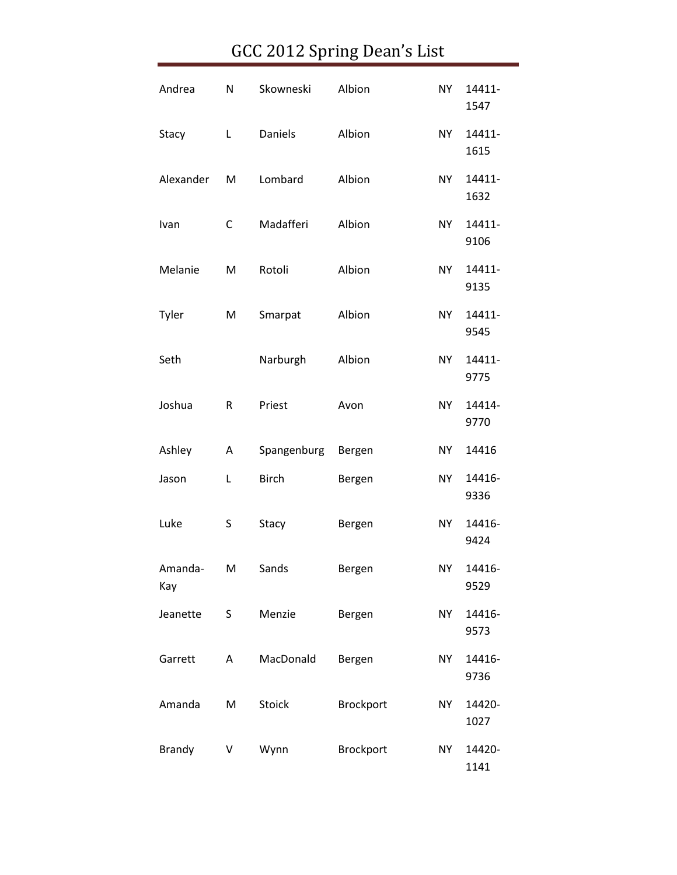| Andrea         | N | Skowneski    | Albion    | <b>NY</b> | 14411-<br>1547 |
|----------------|---|--------------|-----------|-----------|----------------|
| Stacy          | L | Daniels      | Albion    | <b>NY</b> | 14411-<br>1615 |
| Alexander      | M | Lombard      | Albion    | <b>NY</b> | 14411-<br>1632 |
| Ivan           | C | Madafferi    | Albion    | <b>NY</b> | 14411-<br>9106 |
| Melanie        | M | Rotoli       | Albion    | <b>NY</b> | 14411-<br>9135 |
| Tyler          | M | Smarpat      | Albion    | <b>NY</b> | 14411-<br>9545 |
| Seth           |   | Narburgh     | Albion    | <b>NY</b> | 14411-<br>9775 |
| Joshua         | R | Priest       | Avon      | <b>NY</b> | 14414-<br>9770 |
| Ashley         | A | Spangenburg  | Bergen    | <b>NY</b> | 14416          |
| Jason          | L | <b>Birch</b> | Bergen    | NY        | 14416-<br>9336 |
| Luke           | S | Stacy        | Bergen    | <b>NY</b> | 14416-<br>9424 |
| Amanda-<br>Kay | M | Sands        | Bergen    | NY .      | 14416-<br>9529 |
| Jeanette       | S | Menzie       | Bergen    | <b>NY</b> | 14416-<br>9573 |
| Garrett        | Α | MacDonald    | Bergen    | <b>NY</b> | 14416-<br>9736 |
| Amanda         | M | Stoick       | Brockport | <b>NY</b> | 14420-<br>1027 |
| <b>Brandy</b>  | V | Wynn         | Brockport | NY        | 14420-<br>1141 |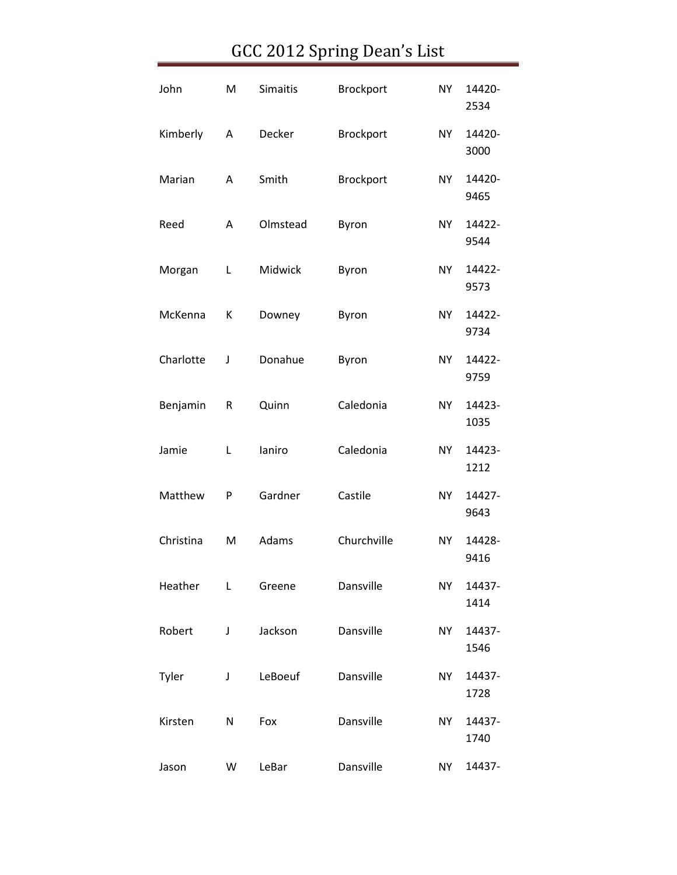| John      | M | <b>Simaitis</b> | Brockport   | <b>NY</b> | 14420-<br>2534 |
|-----------|---|-----------------|-------------|-----------|----------------|
| Kimberly  | Α | Decker          | Brockport   | <b>NY</b> | 14420-<br>3000 |
| Marian    | А | Smith           | Brockport   | <b>NY</b> | 14420-<br>9465 |
| Reed      | Α | Olmstead        | Byron       | <b>NY</b> | 14422-<br>9544 |
| Morgan    | L | Midwick         | Byron       | <b>NY</b> | 14422-<br>9573 |
| McKenna   | К | Downey          | Byron       | <b>NY</b> | 14422-<br>9734 |
| Charlotte | J | Donahue         | Byron       | <b>NY</b> | 14422-<br>9759 |
| Benjamin  | R | Quinn           | Caledonia   | <b>NY</b> | 14423-<br>1035 |
| Jamie     | L | laniro          | Caledonia   | <b>NY</b> | 14423-<br>1212 |
| Matthew   | P | Gardner         | Castile     | <b>NY</b> | 14427-<br>9643 |
| Christina | M | Adams           | Churchville | <b>NY</b> | 14428-<br>9416 |
| Heather   | L | Greene          | Dansville   | <b>NY</b> | 14437-<br>1414 |
| Robert    | J | Jackson         | Dansville   | <b>NY</b> | 14437-<br>1546 |
| Tyler     | J | LeBoeuf         | Dansville   | NY        | 14437-<br>1728 |
| Kirsten   | N | Fox             | Dansville   | <b>NY</b> | 14437-<br>1740 |
| Jason     | W | LeBar           | Dansville   | NY        | 14437-         |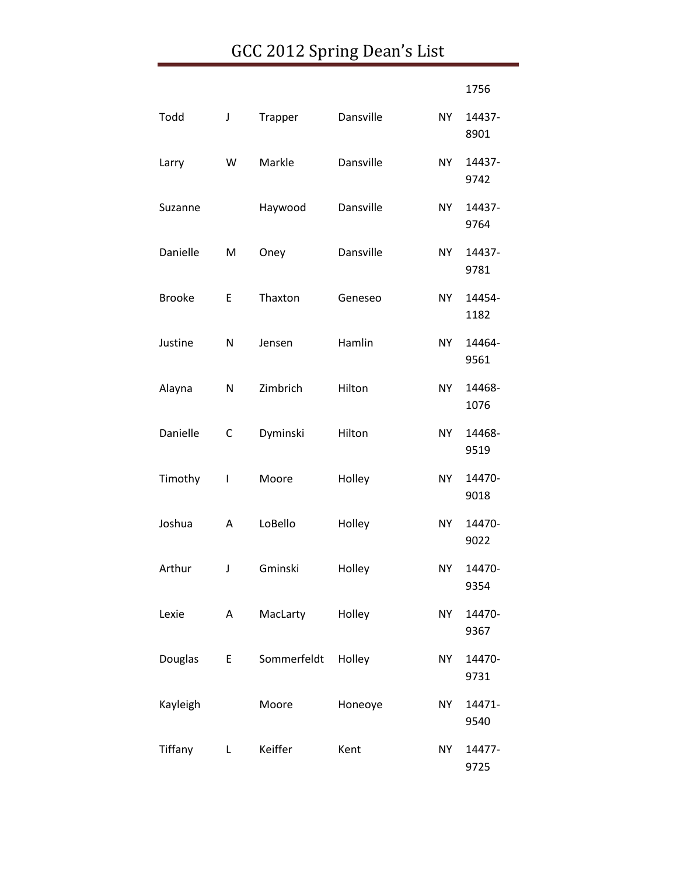|               |              |             |           |           | 1756           |
|---------------|--------------|-------------|-----------|-----------|----------------|
| Todd          | J            | Trapper     | Dansville | <b>NY</b> | 14437-<br>8901 |
| Larry         | W            | Markle      | Dansville | <b>NY</b> | 14437-<br>9742 |
| Suzanne       |              | Haywood     | Dansville | NY        | 14437-<br>9764 |
| Danielle      | M            | Oney        | Dansville | <b>NY</b> | 14437-<br>9781 |
| <b>Brooke</b> | E            | Thaxton     | Geneseo   | <b>NY</b> | 14454-<br>1182 |
| Justine       | N            | Jensen      | Hamlin    | <b>NY</b> | 14464-<br>9561 |
| Alayna        | N            | Zimbrich    | Hilton    | <b>NY</b> | 14468-<br>1076 |
| Danielle      | С            | Dyminski    | Hilton    | <b>NY</b> | 14468-<br>9519 |
| Timothy       | I            | Moore       | Holley    | <b>NY</b> | 14470-<br>9018 |
| Joshua        | A            | LoBello     | Holley    | NY.       | 14470-<br>9022 |
| Arthur        | J            | Gminski     | Holley    | <b>NY</b> | 14470-<br>9354 |
| Lexie         | A            | MacLarty    | Holley    | <b>NY</b> | 14470-<br>9367 |
| Douglas       | E            | Sommerfeldt | Holley    | <b>NY</b> | 14470-<br>9731 |
| Kayleigh      |              | Moore       | Honeoye   | <b>NY</b> | 14471-<br>9540 |
| Tiffany       | $\mathbf{L}$ | Keiffer     | Kent      | <b>NY</b> | 14477-<br>9725 |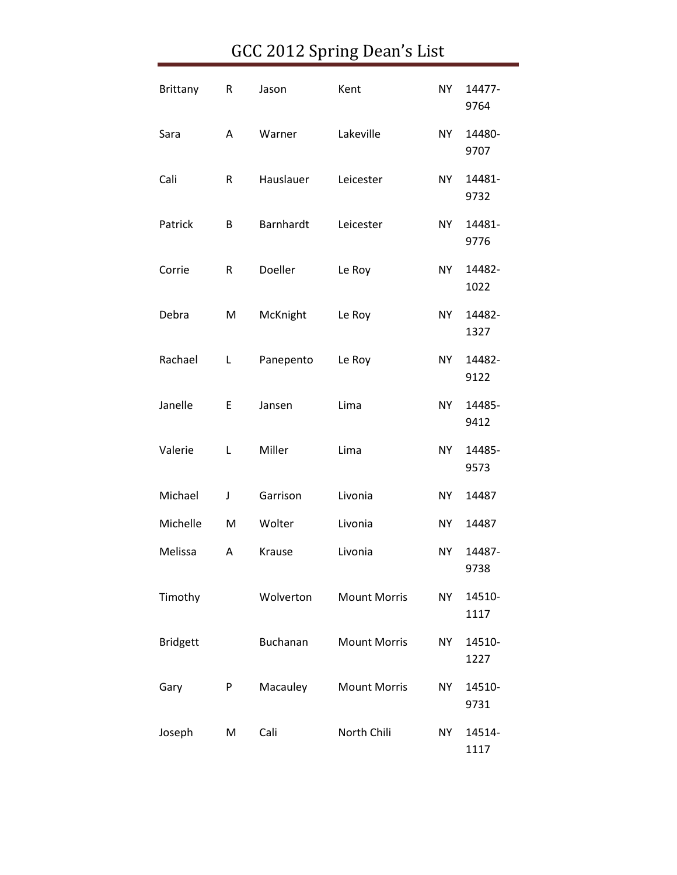| <b>Brittany</b> | R | Jason     | Kent                | <b>NY</b> | 14477-<br>9764 |
|-----------------|---|-----------|---------------------|-----------|----------------|
| Sara            | Α | Warner    | Lakeville           | <b>NY</b> | 14480-<br>9707 |
| Cali            | R | Hauslauer | Leicester           | <b>NY</b> | 14481-<br>9732 |
| Patrick         | В | Barnhardt | Leicester           | <b>NY</b> | 14481-<br>9776 |
| Corrie          | R | Doeller   | Le Roy              | <b>NY</b> | 14482-<br>1022 |
| Debra           | M | McKnight  | Le Roy              | <b>NY</b> | 14482-<br>1327 |
| Rachael         | Г | Panepento | Le Roy              | <b>NY</b> | 14482-<br>9122 |
| Janelle         | E | Jansen    | Lima                | <b>NY</b> | 14485-<br>9412 |
| Valerie         | L | Miller    | Lima                | <b>NY</b> | 14485-<br>9573 |
| Michael         | J | Garrison  | Livonia             | <b>NY</b> | 14487          |
| Michelle        | M | Wolter    | Livonia             | <b>NY</b> | 14487          |
| Melissa         | А | Krause    | Livonia             | <b>NY</b> | 14487-<br>9738 |
| Timothy         |   | Wolverton | <b>Mount Morris</b> | <b>NY</b> | 14510-<br>1117 |
| <b>Bridgett</b> |   | Buchanan  | <b>Mount Morris</b> | <b>NY</b> | 14510-<br>1227 |
| Gary            | P | Macauley  | <b>Mount Morris</b> | NY        | 14510-<br>9731 |
| Joseph          | M | Cali      | North Chili         | <b>NY</b> | 14514-<br>1117 |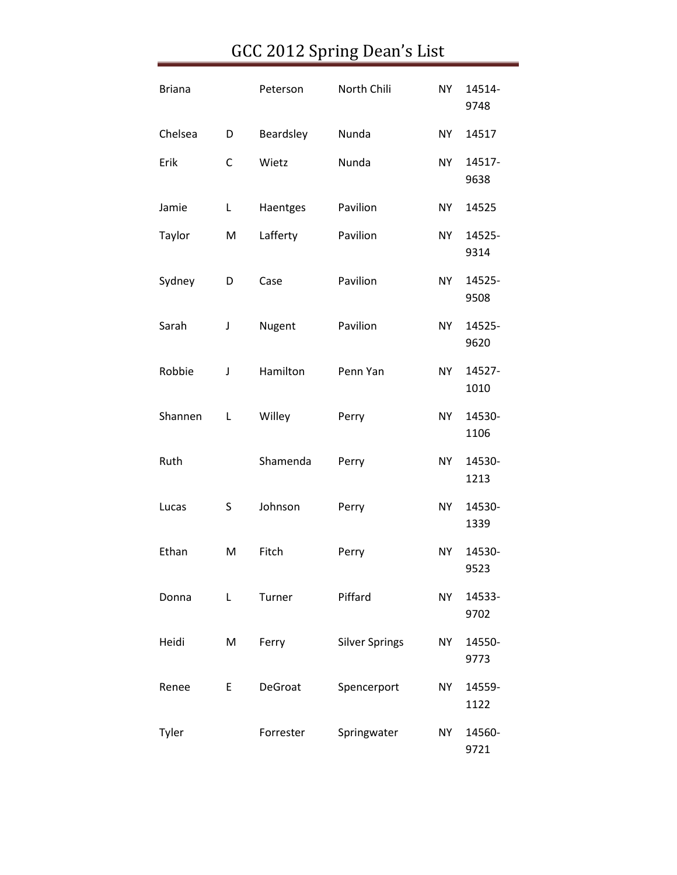| <b>Briana</b> |              | Peterson  | North Chili           | <b>NY</b> | 14514-<br>9748 |
|---------------|--------------|-----------|-----------------------|-----------|----------------|
| Chelsea       | D            | Beardsley | Nunda                 | <b>NY</b> | 14517          |
| Erik          | $\mathsf{C}$ | Wietz     | Nunda                 | <b>NY</b> | 14517-<br>9638 |
| Jamie         | L            | Haentges  | Pavilion              | <b>NY</b> | 14525          |
| Taylor        | M            | Lafferty  | Pavilion              | <b>NY</b> | 14525-<br>9314 |
| Sydney        | D            | Case      | Pavilion              | <b>NY</b> | 14525-<br>9508 |
| Sarah         | J            | Nugent    | Pavilion              | <b>NY</b> | 14525-<br>9620 |
| Robbie        | J            | Hamilton  | Penn Yan              | <b>NY</b> | 14527-<br>1010 |
| Shannen       | Г            | Willey    | Perry                 | <b>NY</b> | 14530-<br>1106 |
| Ruth          |              | Shamenda  | Perry                 | <b>NY</b> | 14530-<br>1213 |
| Lucas         | S            | Johnson   | Perry                 | <b>NY</b> | 14530-<br>1339 |
| Ethan         | M            | Fitch     | Perry                 | <b>NY</b> | 14530-<br>9523 |
| Donna         | Г            | Turner    | Piffard               | <b>NY</b> | 14533-<br>9702 |
| Heidi         | M            | Ferry     | <b>Silver Springs</b> | <b>NY</b> | 14550-<br>9773 |
| Renee         | E            | DeGroat   | Spencerport           | <b>NY</b> | 14559-<br>1122 |
| Tyler         |              | Forrester | Springwater           | <b>NY</b> | 14560-<br>9721 |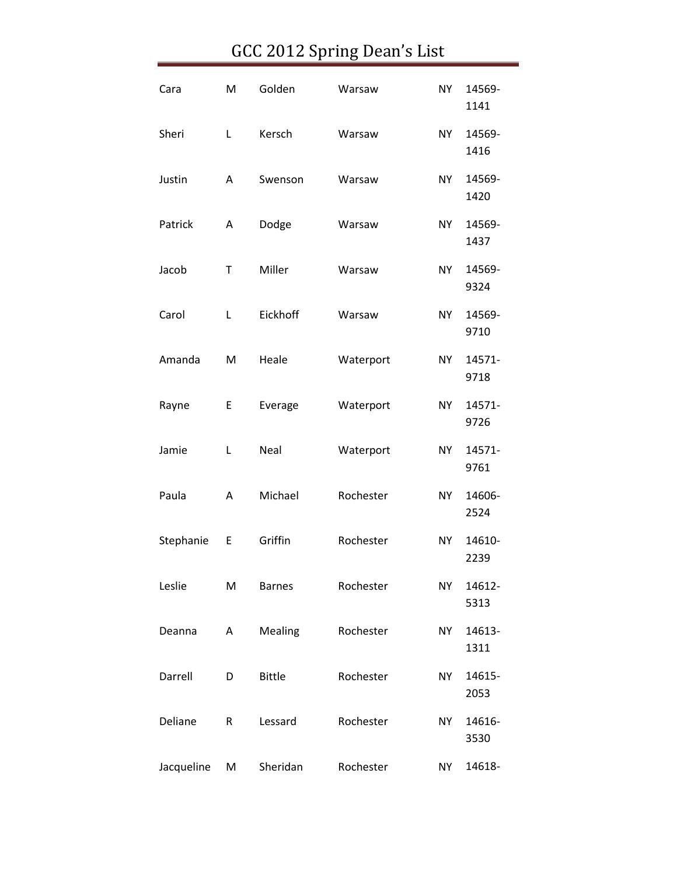| Cara       | M | Golden        | Warsaw    | <b>NY</b> | 14569-<br>1141 |
|------------|---|---------------|-----------|-----------|----------------|
| Sheri      | L | Kersch        | Warsaw    | <b>NY</b> | 14569-<br>1416 |
| Justin     | A | Swenson       | Warsaw    | <b>NY</b> | 14569-<br>1420 |
| Patrick    | Α | Dodge         | Warsaw    | <b>NY</b> | 14569-<br>1437 |
| Jacob      | T | Miller        | Warsaw    | <b>NY</b> | 14569-<br>9324 |
| Carol      | Г | Eickhoff      | Warsaw    | <b>NY</b> | 14569-<br>9710 |
| Amanda     | M | Heale         | Waterport | <b>NY</b> | 14571-<br>9718 |
| Rayne      | E | Everage       | Waterport | <b>NY</b> | 14571-<br>9726 |
| Jamie      | L | Neal          | Waterport | <b>NY</b> | 14571-<br>9761 |
| Paula      | А | Michael       | Rochester | <b>NY</b> | 14606-<br>2524 |
| Stephanie  | E | Griffin       | Rochester | <b>NY</b> | 14610-<br>2239 |
| Leslie     | M | <b>Barnes</b> | Rochester | <b>NY</b> | 14612-<br>5313 |
| Deanna     | Α | Mealing       | Rochester | <b>NY</b> | 14613-<br>1311 |
| Darrell    | D | <b>Bittle</b> | Rochester | <b>NY</b> | 14615-<br>2053 |
| Deliane    | R | Lessard       | Rochester | <b>NY</b> | 14616-<br>3530 |
| Jacqueline | M | Sheridan      | Rochester | <b>NY</b> | 14618-         |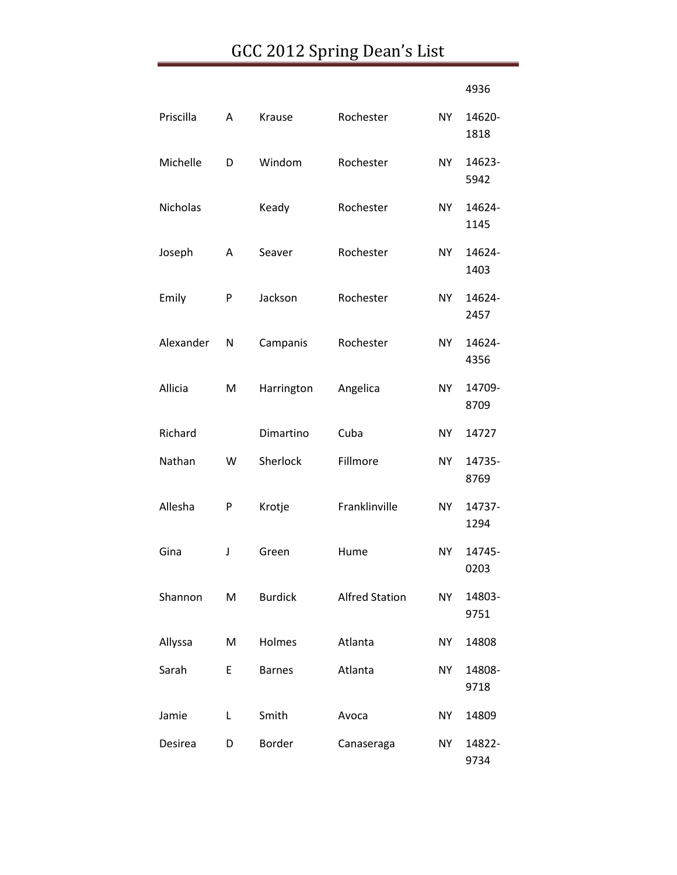|           |   |                |                       |           | 4936           |
|-----------|---|----------------|-----------------------|-----------|----------------|
| Priscilla | Α | <b>Krause</b>  | Rochester             | NY.       | 14620-<br>1818 |
| Michelle  | D | Windom         | Rochester             | <b>NY</b> | 14623-<br>5942 |
| Nicholas  |   | Keady          | Rochester             | NY        | 14624-<br>1145 |
| Joseph    | Α | Seaver         | Rochester             | NY.       | 14624-<br>1403 |
| Emily     | P | Jackson        | Rochester             | NY        | 14624-<br>2457 |
| Alexander | N | Campanis       | Rochester             | NY.       | 14624-<br>4356 |
| Allicia   | M | Harrington     | Angelica              | <b>NY</b> | 14709-<br>8709 |
| Richard   |   | Dimartino      | Cuba                  | <b>NY</b> | 14727          |
| Nathan    | W | Sherlock       | Fillmore              | NY.       | 14735-<br>8769 |
| Allesha   | P | Krotje         | Franklinville         | <b>NY</b> | 14737-<br>1294 |
| Gina      | J | Green          | Hume                  | <b>NY</b> | 14745-<br>0203 |
| Shannon   | M | <b>Burdick</b> | <b>Alfred Station</b> | <b>NY</b> | 14803-<br>9751 |
| Allyssa   | M | Holmes         | Atlanta               | NY        | 14808          |
| Sarah     | E | <b>Barnes</b>  | Atlanta               | NY        | 14808-<br>9718 |
| Jamie     | Г | Smith          | Avoca                 | NY        | 14809          |
| Desirea   | D | <b>Border</b>  | Canaseraga            | NY        | 14822-<br>9734 |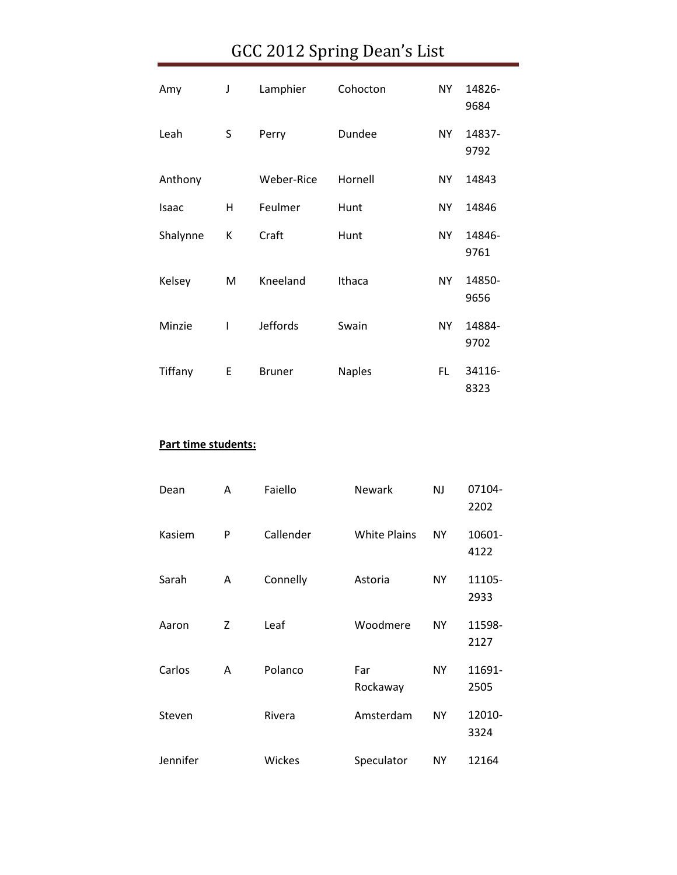| Amy      | J | Lamphier        | Cohocton      | NY.       | 14826-<br>9684 |
|----------|---|-----------------|---------------|-----------|----------------|
| Leah     | S | Perry           | Dundee        | NY        | 14837-<br>9792 |
| Anthony  |   | Weber-Rice      | Hornell       | NY.       | 14843          |
| Isaac    | н | Feulmer         | Hunt          | <b>NY</b> | 14846          |
| Shalynne | К | Craft           | Hunt          | NY.       | 14846-<br>9761 |
| Kelsey   | м | Kneeland        | Ithaca        | NY        | 14850-<br>9656 |
| Minzie   | ı | <b>Jeffords</b> | Swain         | NY.       | 14884-<br>9702 |
| Tiffany  | E | <b>Bruner</b>   | <b>Naples</b> | FL.       | 34116-<br>8323 |

#### **Part time students:**

| Dean     | A | Faiello   | Newark              | <b>NJ</b> | 07104-<br>2202 |
|----------|---|-----------|---------------------|-----------|----------------|
| Kasiem   | P | Callender | <b>White Plains</b> | <b>NY</b> | 10601-<br>4122 |
| Sarah    | A | Connelly  | Astoria             | ΝY        | 11105-<br>2933 |
| Aaron    | Z | Leaf      | Woodmere            | <b>NY</b> | 11598-<br>2127 |
| Carlos   | A | Polanco   | Far<br>Rockaway     | <b>NY</b> | 11691-<br>2505 |
| Steven   |   | Rivera    | Amsterdam           | ΝY        | 12010-<br>3324 |
| Jennifer |   | Wickes    | Speculator          | NΥ        | 12164          |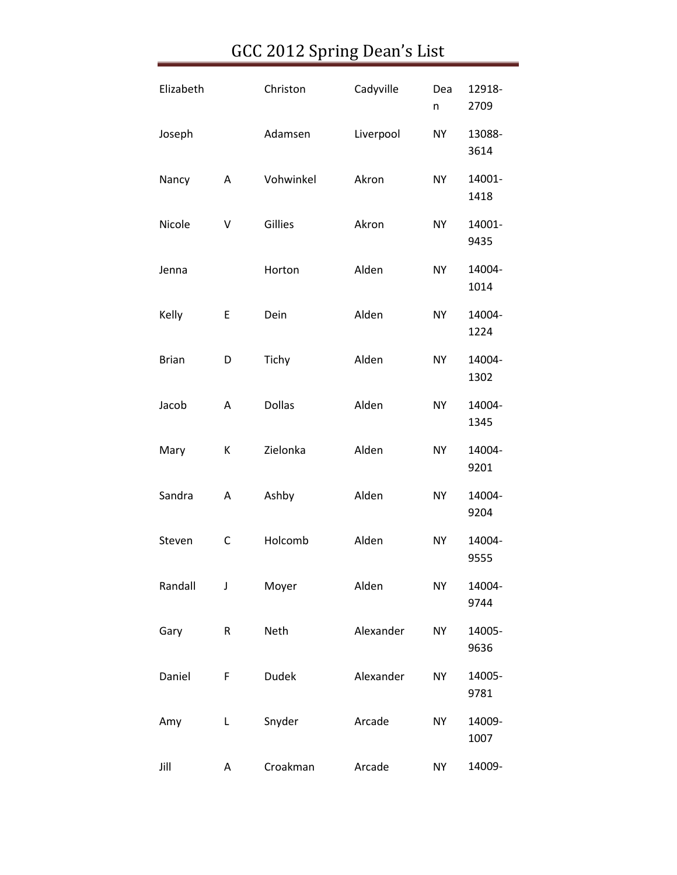| Elizabeth    |              | Christon      | Cadyville | Dea<br>n  | 12918-<br>2709 |
|--------------|--------------|---------------|-----------|-----------|----------------|
| Joseph       |              | Adamsen       | Liverpool | <b>NY</b> | 13088-<br>3614 |
| Nancy        | Α            | Vohwinkel     | Akron     | <b>NY</b> | 14001-<br>1418 |
| Nicole       | V            | Gillies       | Akron     | <b>NY</b> | 14001-<br>9435 |
| Jenna        |              | Horton        | Alden     | <b>NY</b> | 14004-<br>1014 |
| Kelly        | E            | Dein          | Alden     | <b>NY</b> | 14004-<br>1224 |
| <b>Brian</b> | D            | Tichy         | Alden     | <b>NY</b> | 14004-<br>1302 |
| Jacob        | A            | <b>Dollas</b> | Alden     | <b>NY</b> | 14004-<br>1345 |
| Mary         | К            | Zielonka      | Alden     | <b>NY</b> | 14004-<br>9201 |
| Sandra       | Α            | Ashby         | Alden     | <b>NY</b> | 14004-<br>9204 |
| Steven       | $\mathsf{C}$ | Holcomb       | Alden     | <b>NY</b> | 14004-<br>9555 |
| Randall      | J            | Moyer         | Alden     | <b>NY</b> | 14004-<br>9744 |
| Gary         | R            | Neth          | Alexander | <b>NY</b> | 14005-<br>9636 |
| Daniel       | F            | <b>Dudek</b>  | Alexander | <b>NY</b> | 14005-<br>9781 |
| Amy          | L            | Snyder        | Arcade    | <b>NY</b> | 14009-<br>1007 |
| Jill         | Α            | Croakman      | Arcade    | NY        | 14009-         |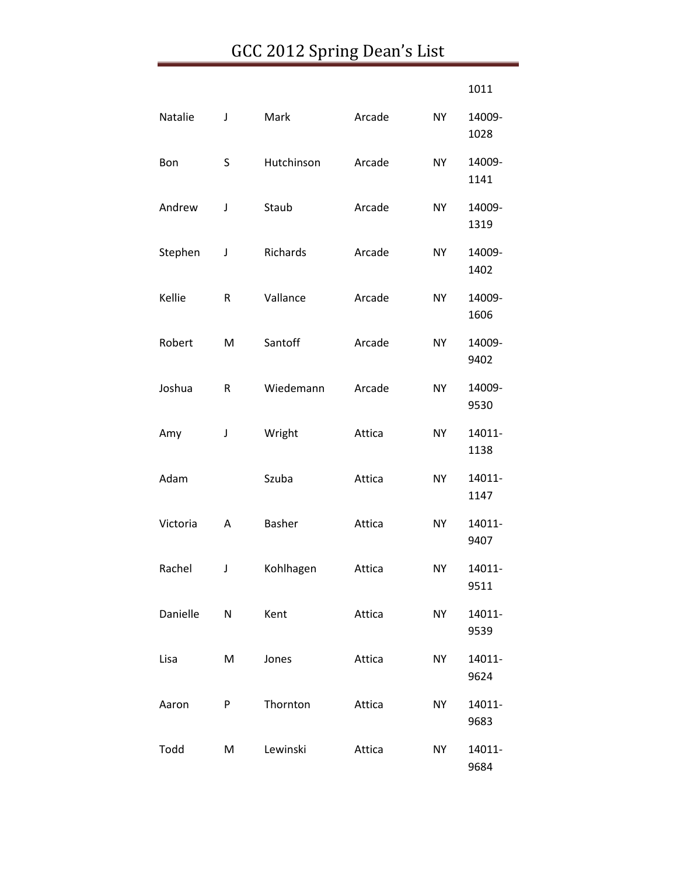|          |   |               |        |           | 1011           |
|----------|---|---------------|--------|-----------|----------------|
| Natalie  | J | Mark          | Arcade | <b>NY</b> | 14009-<br>1028 |
| Bon      | S | Hutchinson    | Arcade | <b>NY</b> | 14009-<br>1141 |
| Andrew   | J | Staub         | Arcade | <b>NY</b> | 14009-<br>1319 |
| Stephen  | J | Richards      | Arcade | <b>NY</b> | 14009-<br>1402 |
| Kellie   | R | Vallance      | Arcade | <b>NY</b> | 14009-<br>1606 |
| Robert   | M | Santoff       | Arcade | <b>NY</b> | 14009-<br>9402 |
| Joshua   | R | Wiedemann     | Arcade | <b>NY</b> | 14009-<br>9530 |
| Amy      | J | Wright        | Attica | <b>NY</b> | 14011-<br>1138 |
| Adam     |   | Szuba         | Attica | <b>NY</b> | 14011-<br>1147 |
| Victoria | A | <b>Basher</b> | Attica | <b>NY</b> | 14011-<br>9407 |
| Rachel   | J | Kohlhagen     | Attica | <b>NY</b> | 14011-<br>9511 |
| Danielle | N | Kent          | Attica | <b>NY</b> | 14011-<br>9539 |
| Lisa     | M | Jones         | Attica | <b>NY</b> | 14011-<br>9624 |
| Aaron    | P | Thornton      | Attica | <b>NY</b> | 14011-<br>9683 |
| Todd     | M | Lewinski      | Attica | <b>NY</b> | 14011-<br>9684 |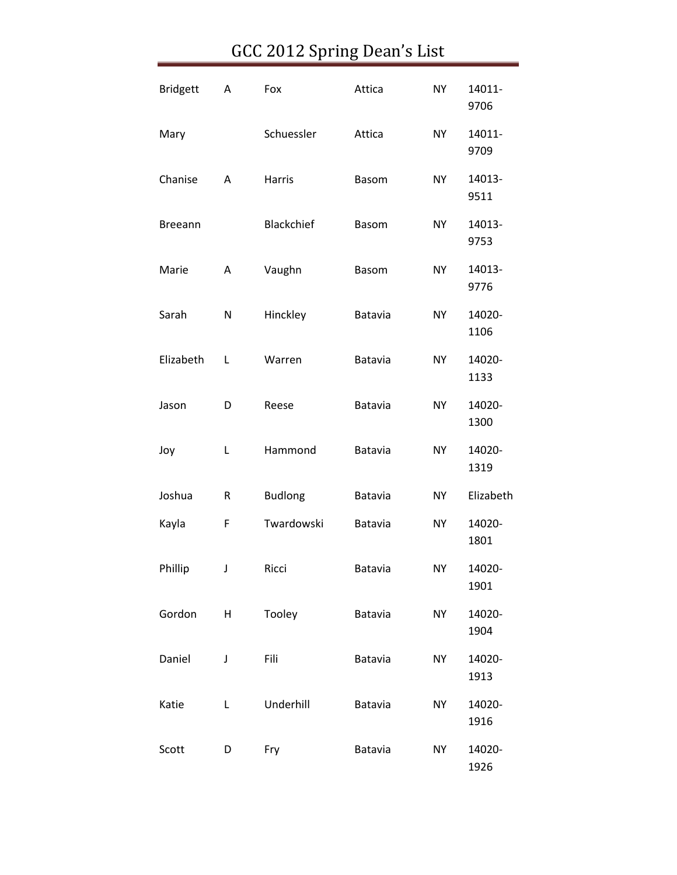| <b>Bridgett</b> | Α         | Fox            | Attica  | <b>NY</b> | 14011-<br>9706 |
|-----------------|-----------|----------------|---------|-----------|----------------|
| Mary            |           | Schuessler     | Attica  | <b>NY</b> | 14011-<br>9709 |
| Chanise         | Α         | Harris         | Basom   | <b>NY</b> | 14013-<br>9511 |
| <b>Breeann</b>  |           | Blackchief     | Basom   | <b>NY</b> | 14013-<br>9753 |
| Marie           | Α         | Vaughn         | Basom   | <b>NY</b> | 14013-<br>9776 |
| Sarah           | N         | Hinckley       | Batavia | <b>NY</b> | 14020-<br>1106 |
| Elizabeth       | Г         | Warren         | Batavia | <b>NY</b> | 14020-<br>1133 |
| Jason           | D         | Reese          | Batavia | <b>NY</b> | 14020-<br>1300 |
| Joy             | L         | Hammond        | Batavia | <b>NY</b> | 14020-<br>1319 |
| Joshua          | ${\sf R}$ | <b>Budlong</b> | Batavia | <b>NY</b> | Elizabeth      |
| Kayla           | F         | Twardowski     | Batavia | <b>NY</b> | 14020-<br>1801 |
| Phillip         | J         | Ricci          | Batavia | NΥ        | 14020-<br>1901 |
| Gordon          | H         | Tooley         | Batavia | <b>NY</b> | 14020-<br>1904 |
| Daniel          | J         | Fili           | Batavia | NY        | 14020-<br>1913 |
| Katie           | L         | Underhill      | Batavia | <b>NY</b> | 14020-<br>1916 |
| Scott           | D         | Fry            | Batavia | NY        | 14020-<br>1926 |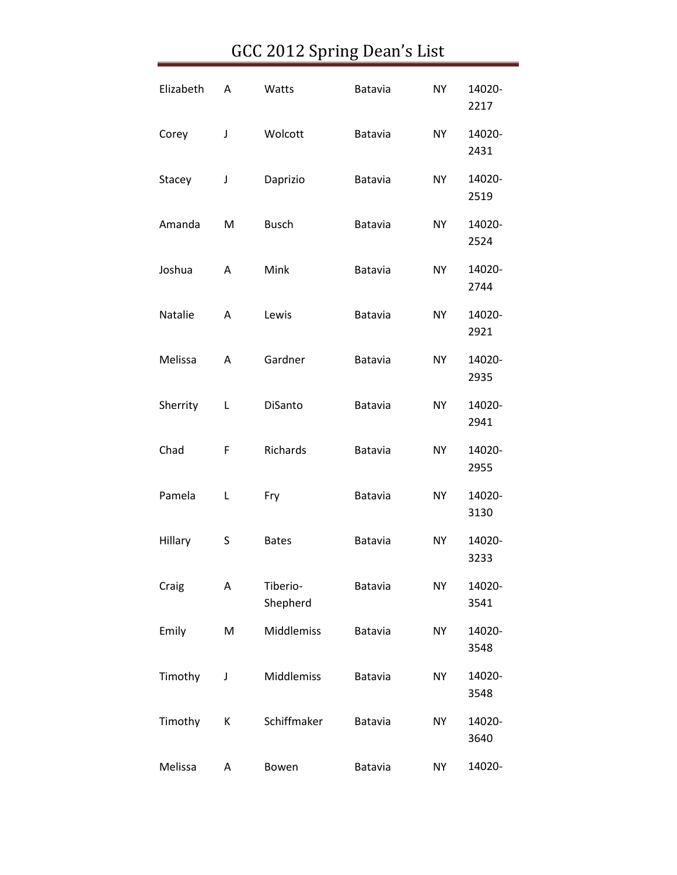| Elizabeth | A | Watts                | Batavia        | <b>NY</b> | 14020-<br>2217 |
|-----------|---|----------------------|----------------|-----------|----------------|
| Corey     | J | Wolcott              | Batavia        | <b>NY</b> | 14020-<br>2431 |
| Stacey    | J | Daprizio             | Batavia        | <b>NY</b> | 14020-<br>2519 |
| Amanda    | M | <b>Busch</b>         | Batavia        | <b>NY</b> | 14020-<br>2524 |
| Joshua    | A | Mink                 | Batavia        | <b>NY</b> | 14020-<br>2744 |
| Natalie   | А | Lewis                | Batavia        | <b>NY</b> | 14020-<br>2921 |
| Melissa   | A | Gardner              | Batavia        | <b>NY</b> | 14020-<br>2935 |
| Sherrity  | Г | DiSanto              | Batavia        | <b>NY</b> | 14020-<br>2941 |
| Chad      | F | Richards             | Batavia        | <b>NY</b> | 14020-<br>2955 |
| Pamela    | L | Fry                  | Batavia        | <b>NY</b> | 14020-<br>3130 |
| Hillary   | S | <b>Bates</b>         | Batavia        | <b>NY</b> | 14020-<br>3233 |
| Craig     | А | Tiberio-<br>Shepherd | Batavia        | <b>NY</b> | 14020-<br>3541 |
| Emily     | M | Middlemiss           | Batavia        | <b>NY</b> | 14020-<br>3548 |
| Timothy   | J | Middlemiss           | Batavia        | <b>NY</b> | 14020-<br>3548 |
| Timothy   | К | Schiffmaker          | Batavia        | <b>NY</b> | 14020-<br>3640 |
| Melissa   | A | Bowen                | <b>Batavia</b> | <b>NY</b> | 14020-         |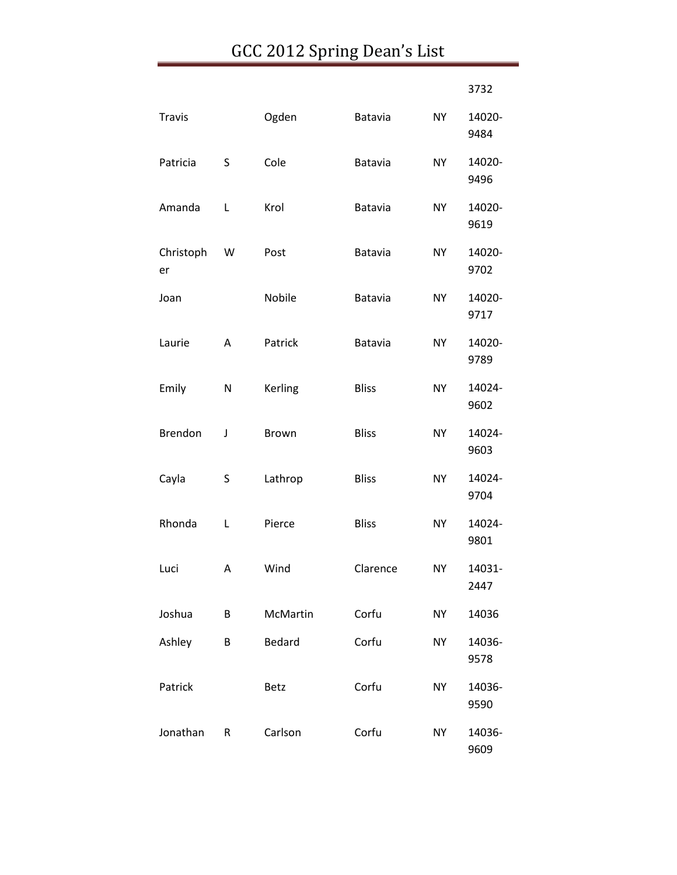|                 |           |          |              |           | 3732           |
|-----------------|-----------|----------|--------------|-----------|----------------|
| <b>Travis</b>   |           | Ogden    | Batavia      | <b>NY</b> | 14020-<br>9484 |
| Patricia        | S         | Cole     | Batavia      | <b>NY</b> | 14020-<br>9496 |
| Amanda          | L         | Krol     | Batavia      | <b>NY</b> | 14020-<br>9619 |
| Christoph<br>er | W         | Post     | Batavia      | NY.       | 14020-<br>9702 |
| Joan            |           | Nobile   | Batavia      | <b>NY</b> | 14020-<br>9717 |
| Laurie          | A         | Patrick  | Batavia      | <b>NY</b> | 14020-<br>9789 |
| Emily           | N         | Kerling  | <b>Bliss</b> | <b>NY</b> | 14024-<br>9602 |
| <b>Brendon</b>  | J         | Brown    | <b>Bliss</b> | <b>NY</b> | 14024-<br>9603 |
| Cayla           | S         | Lathrop  | <b>Bliss</b> | <b>NY</b> | 14024-<br>9704 |
| Rhonda          | L         | Pierce   | <b>Bliss</b> | <b>NY</b> | 14024-<br>9801 |
| Luci            | Α         | Wind     | Clarence     | <b>NY</b> | 14031-<br>2447 |
| Joshua          | B         | McMartin | Corfu        | <b>NY</b> | 14036          |
| Ashley          | B         | Bedard   | Corfu        | <b>NY</b> | 14036-<br>9578 |
| Patrick         |           | Betz     | Corfu        | <b>NY</b> | 14036-<br>9590 |
| Jonathan        | ${\sf R}$ | Carlson  | Corfu        | <b>NY</b> | 14036-<br>9609 |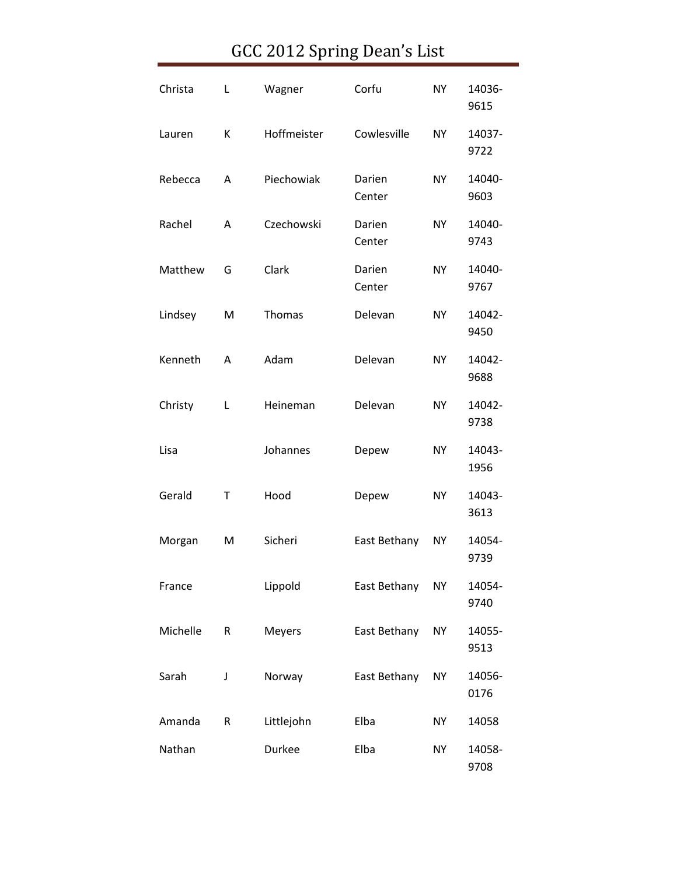| Christa  | Г | Wagner        | Corfu            | <b>NY</b> | 14036-<br>9615 |
|----------|---|---------------|------------------|-----------|----------------|
| Lauren   | К | Hoffmeister   | Cowlesville      | <b>NY</b> | 14037-<br>9722 |
| Rebecca  | A | Piechowiak    | Darien<br>Center | <b>NY</b> | 14040-<br>9603 |
| Rachel   | A | Czechowski    | Darien<br>Center | <b>NY</b> | 14040-<br>9743 |
| Matthew  | G | Clark         | Darien<br>Center | <b>NY</b> | 14040-<br>9767 |
| Lindsey  | M | <b>Thomas</b> | Delevan          | <b>NY</b> | 14042-<br>9450 |
| Kenneth  | A | Adam          | Delevan          | <b>NY</b> | 14042-<br>9688 |
| Christy  | Г | Heineman      | Delevan          | <b>NY</b> | 14042-<br>9738 |
| Lisa     |   | Johannes      | Depew            | <b>NY</b> | 14043-<br>1956 |
| Gerald   | Т | Hood          | Depew            | <b>NY</b> | 14043-<br>3613 |
| Morgan   | M | Sicheri       | East Bethany     | <b>NY</b> | 14054-<br>9739 |
| France   |   | Lippold       | East Bethany     | <b>NY</b> | 14054-<br>9740 |
| Michelle | R | <b>Meyers</b> | East Bethany     | <b>NY</b> | 14055-<br>9513 |
| Sarah    | J | Norway        | East Bethany     | <b>NY</b> | 14056-<br>0176 |
| Amanda   | R | Littlejohn    | Elba             | <b>NY</b> | 14058          |
| Nathan   |   | Durkee        | Elba             | <b>NY</b> | 14058-<br>9708 |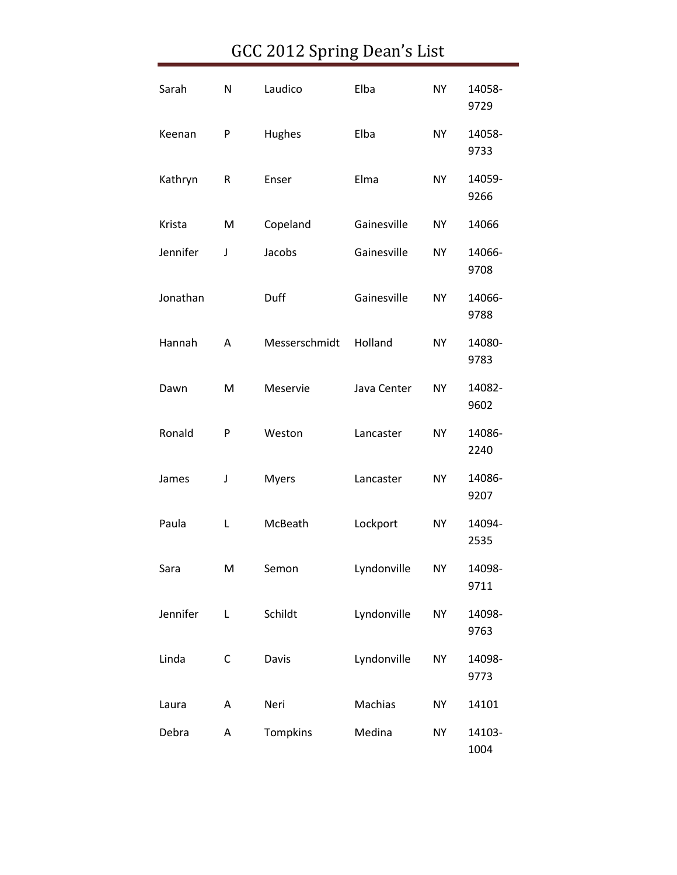| Sarah    | N | Laudico       | Elba        | <b>NY</b> | 14058-<br>9729 |
|----------|---|---------------|-------------|-----------|----------------|
| Keenan   | P | Hughes        | Elba        | <b>NY</b> | 14058-<br>9733 |
| Kathryn  | R | Enser         | Elma        | <b>NY</b> | 14059-<br>9266 |
| Krista   | M | Copeland      | Gainesville | <b>NY</b> | 14066          |
| Jennifer | J | Jacobs        | Gainesville | <b>NY</b> | 14066-<br>9708 |
| Jonathan |   | Duff          | Gainesville | <b>NY</b> | 14066-<br>9788 |
| Hannah   | Α | Messerschmidt | Holland     | <b>NY</b> | 14080-<br>9783 |
| Dawn     | M | Meservie      | Java Center | <b>NY</b> | 14082-<br>9602 |
| Ronald   | P | Weston        | Lancaster   | <b>NY</b> | 14086-<br>2240 |
| James    | J | <b>Myers</b>  | Lancaster   | <b>NY</b> | 14086-<br>9207 |
| Paula    | Г | McBeath       | Lockport    | <b>NY</b> | 14094-<br>2535 |
| Sara     | Μ | Semon         | Lyndonville | NΥ        | 14098-<br>9711 |
| Jennifer | Г | Schildt       | Lyndonville | <b>NY</b> | 14098-<br>9763 |
| Linda    | C | Davis         | Lyndonville | <b>NY</b> | 14098-<br>9773 |
| Laura    | A | Neri          | Machias     | <b>NY</b> | 14101          |
| Debra    | Α | Tompkins      | Medina      | <b>NY</b> | 14103-<br>1004 |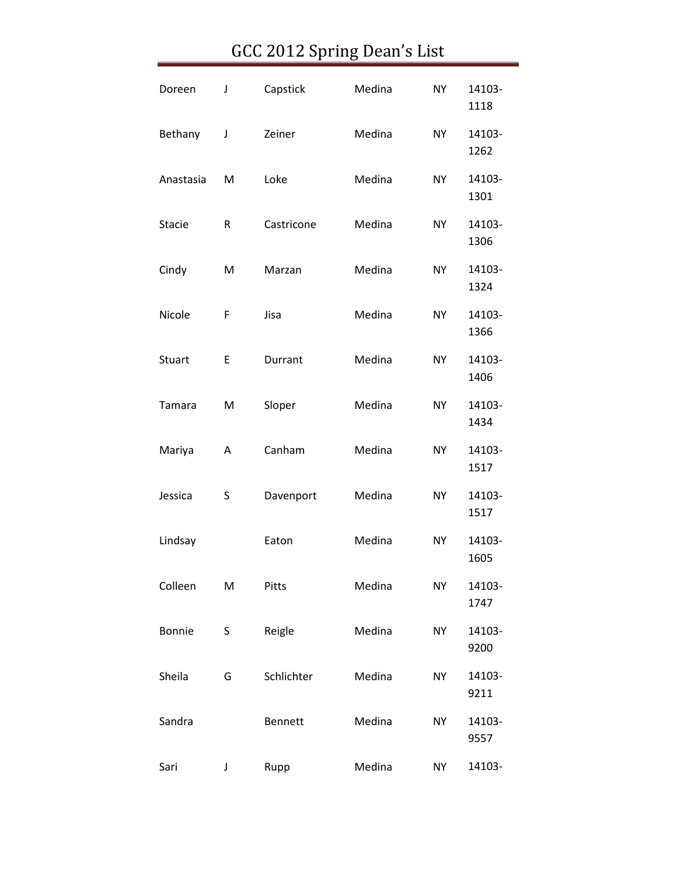| Doreen        | J | Capstick       | Medina | <b>NY</b> | 14103-<br>1118 |
|---------------|---|----------------|--------|-----------|----------------|
| Bethany       | J | Zeiner         | Medina | NY.       | 14103-<br>1262 |
| Anastasia     | M | Loke           | Medina | <b>NY</b> | 14103-<br>1301 |
| <b>Stacie</b> | R | Castricone     | Medina | <b>NY</b> | 14103-<br>1306 |
| Cindy         | M | Marzan         | Medina | <b>NY</b> | 14103-<br>1324 |
| Nicole        | F | Jisa           | Medina | <b>NY</b> | 14103-<br>1366 |
| <b>Stuart</b> | E | Durrant        | Medina | <b>NY</b> | 14103-<br>1406 |
| Tamara        | M | Sloper         | Medina | <b>NY</b> | 14103-<br>1434 |
| Mariya        | Α | Canham         | Medina | <b>NY</b> | 14103-<br>1517 |
| Jessica       | S | Davenport      | Medina | <b>NY</b> | 14103-<br>1517 |
| Lindsay       |   | Eaton          | Medina | <b>NY</b> | 14103-<br>1605 |
| Colleen       | M | Pitts          | Medina | <b>NY</b> | 14103-<br>1747 |
| <b>Bonnie</b> | S | Reigle         | Medina | <b>NY</b> | 14103-<br>9200 |
| Sheila        | G | Schlichter     | Medina | <b>NY</b> | 14103-<br>9211 |
| Sandra        |   | <b>Bennett</b> | Medina | <b>NY</b> | 14103-<br>9557 |
| Sari          | J | Rupp           | Medina | <b>NY</b> | 14103-         |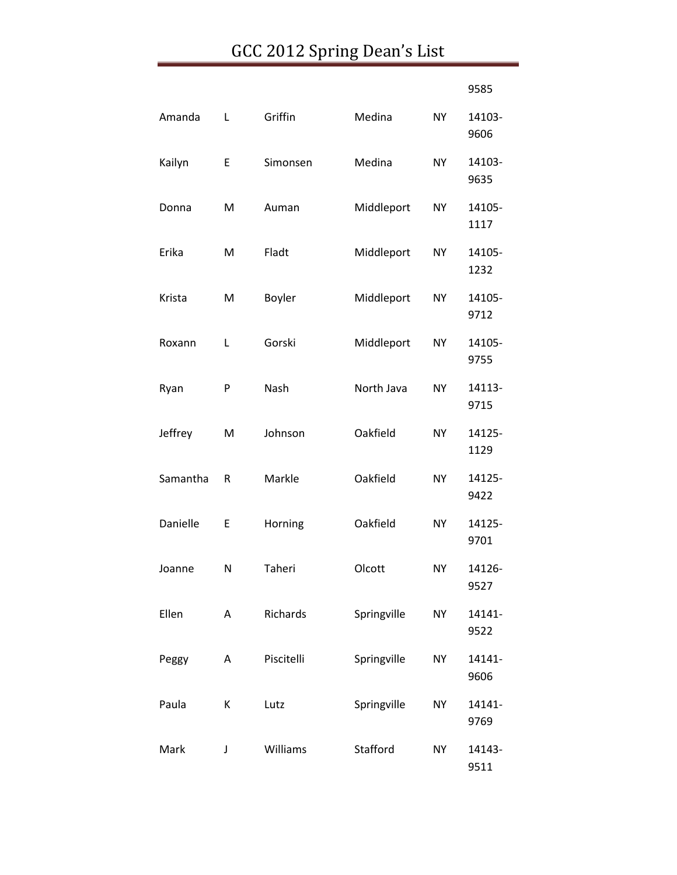|          |   |             |             |           | 9585           |
|----------|---|-------------|-------------|-----------|----------------|
| Amanda   | Г | Griffin     | Medina      | <b>NY</b> | 14103-<br>9606 |
| Kailyn   | E | Simonsen    | Medina      | <b>NY</b> | 14103-<br>9635 |
| Donna    | M | Auman       | Middleport  | <b>NY</b> | 14105-<br>1117 |
| Erika    | M | Fladt       | Middleport  | <b>NY</b> | 14105-<br>1232 |
| Krista   | M | Boyler      | Middleport  | <b>NY</b> | 14105-<br>9712 |
| Roxann   | L | Gorski      | Middleport  | <b>NY</b> | 14105-<br>9755 |
| Ryan     | P | <b>Nash</b> | North Java  | <b>NY</b> | 14113-<br>9715 |
| Jeffrey  | M | Johnson     | Oakfield    | <b>NY</b> | 14125-<br>1129 |
| Samantha | R | Markle      | Oakfield    | <b>NY</b> | 14125-<br>9422 |
| Danielle | Ε | Horning     | Oakfield    | <b>NY</b> | 14125-<br>9701 |
| Joanne   | N | Taheri      | Olcott      | <b>NY</b> | 14126-<br>9527 |
| Ellen    | A | Richards    | Springville | <b>NY</b> | 14141-<br>9522 |
| Peggy    | Α | Piscitelli  | Springville | <b>NY</b> | 14141-<br>9606 |
| Paula    | К | Lutz        | Springville | <b>NY</b> | 14141-<br>9769 |
| Mark     | J | Williams    | Stafford    | <b>NY</b> | 14143-<br>9511 |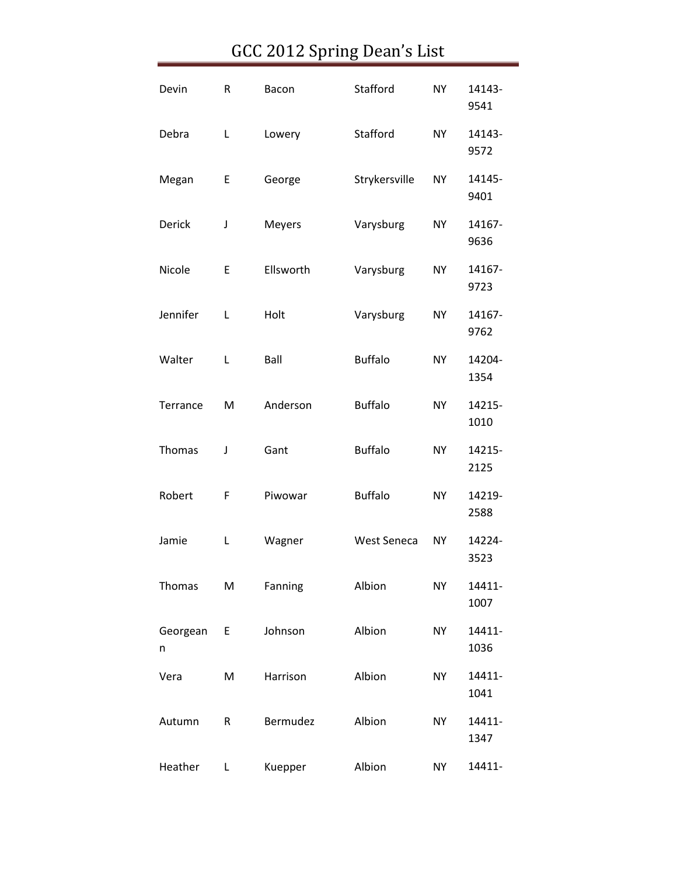| Devin         | R | Bacon         | Stafford           | <b>NY</b> | 14143-<br>9541 |
|---------------|---|---------------|--------------------|-----------|----------------|
| Debra         | L | Lowery        | Stafford           | <b>NY</b> | 14143-<br>9572 |
| Megan         | E | George        | Strykersville      | <b>NY</b> | 14145-<br>9401 |
| Derick        | J | <b>Meyers</b> | Varysburg          | <b>NY</b> | 14167-<br>9636 |
| Nicole        | E | Ellsworth     | Varysburg          | <b>NY</b> | 14167-<br>9723 |
| Jennifer      | L | Holt          | Varysburg          | <b>NY</b> | 14167-<br>9762 |
| Walter        | L | Ball          | <b>Buffalo</b>     | <b>NY</b> | 14204-<br>1354 |
| Terrance      | M | Anderson      | <b>Buffalo</b>     | <b>NY</b> | 14215-<br>1010 |
| Thomas        | J | Gant          | <b>Buffalo</b>     | <b>NY</b> | 14215-<br>2125 |
| Robert        | F | Piwowar       | <b>Buffalo</b>     | <b>NY</b> | 14219-<br>2588 |
| Jamie         | Г | Wagner        | <b>West Seneca</b> | <b>NY</b> | 14224-<br>3523 |
| Thomas        | M | Fanning       | Albion             | <b>NY</b> | 14411-<br>1007 |
| Georgean<br>n | E | Johnson       | Albion             | <b>NY</b> | 14411-<br>1036 |
| Vera          | M | Harrison      | Albion             | <b>NY</b> | 14411-<br>1041 |
| Autumn        | R | Bermudez      | Albion             | <b>NY</b> | 14411-<br>1347 |
| Heather       | Г | Kuepper       | Albion             | <b>NY</b> | 14411-         |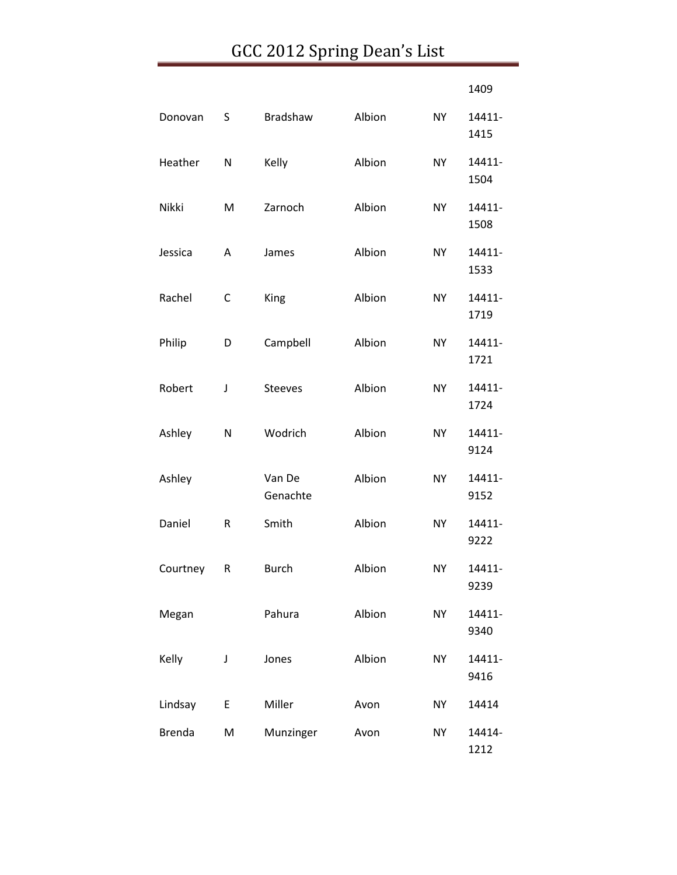|               |   |                    |        |           | 1409           |
|---------------|---|--------------------|--------|-----------|----------------|
| Donovan       | S | <b>Bradshaw</b>    | Albion | <b>NY</b> | 14411-<br>1415 |
| Heather       | N | Kelly              | Albion | <b>NY</b> | 14411-<br>1504 |
| Nikki         | M | Zarnoch            | Albion | <b>NY</b> | 14411-<br>1508 |
| Jessica       | Α | James              | Albion | <b>NY</b> | 14411-<br>1533 |
| Rachel        | C | King               | Albion | <b>NY</b> | 14411-<br>1719 |
| Philip        | D | Campbell           | Albion | <b>NY</b> | 14411-<br>1721 |
| Robert        | J | Steeves            | Albion | <b>NY</b> | 14411-<br>1724 |
| Ashley        | N | Wodrich            | Albion | <b>NY</b> | 14411-<br>9124 |
| Ashley        |   | Van De<br>Genachte | Albion | <b>NY</b> | 14411-<br>9152 |
| Daniel        | R | Smith              | Albion | <b>NY</b> | 14411-<br>9222 |
| Courtney      | R | <b>Burch</b>       | Albion | <b>NY</b> | 14411-<br>9239 |
| Megan         |   | Pahura             | Albion | <b>NY</b> | 14411-<br>9340 |
| Kelly         | J | Jones              | Albion | <b>NY</b> | 14411-<br>9416 |
| Lindsay       | Е | Miller             | Avon   | <b>NY</b> | 14414          |
| <b>Brenda</b> | M | Munzinger          | Avon   | <b>NY</b> | 14414-<br>1212 |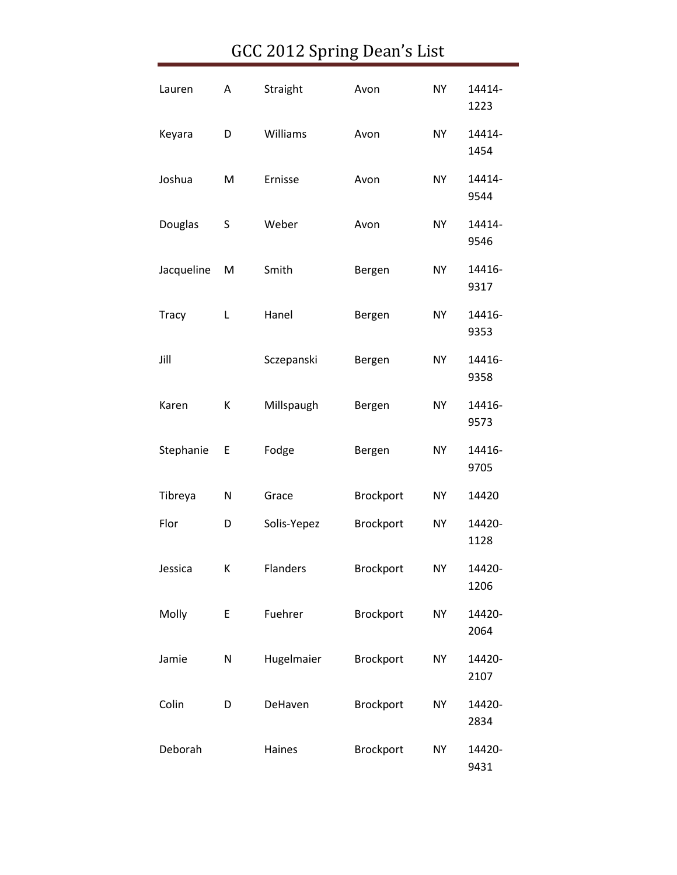| Lauren       | Α | Straight    | Avon      | <b>NY</b> | 14414-<br>1223 |
|--------------|---|-------------|-----------|-----------|----------------|
| Keyara       | D | Williams    | Avon      | <b>NY</b> | 14414-<br>1454 |
| Joshua       | M | Ernisse     | Avon      | <b>NY</b> | 14414-<br>9544 |
| Douglas      | S | Weber       | Avon      | <b>NY</b> | 14414-<br>9546 |
| Jacqueline   | M | Smith       | Bergen    | <b>NY</b> | 14416-<br>9317 |
| <b>Tracy</b> | L | Hanel       | Bergen    | <b>NY</b> | 14416-<br>9353 |
| Jill         |   | Sczepanski  | Bergen    | <b>NY</b> | 14416-<br>9358 |
| Karen        | К | Millspaugh  | Bergen    | <b>NY</b> | 14416-<br>9573 |
| Stephanie    | E | Fodge       | Bergen    | <b>NY</b> | 14416-<br>9705 |
| Tibreya      | N | Grace       | Brockport | <b>NY</b> | 14420          |
| Flor         | D | Solis-Yepez | Brockport | <b>NY</b> | 14420-<br>1128 |
| Jessica      | K | Flanders    | Brockport | NΥ        | 14420-<br>1206 |
| Molly        | E | Fuehrer     | Brockport | <b>NY</b> | 14420-<br>2064 |
| Jamie        | N | Hugelmaier  | Brockport | <b>NY</b> | 14420-<br>2107 |
| Colin        | D | DeHaven     | Brockport | <b>NY</b> | 14420-<br>2834 |
| Deborah      |   | Haines      | Brockport | <b>NY</b> | 14420-<br>9431 |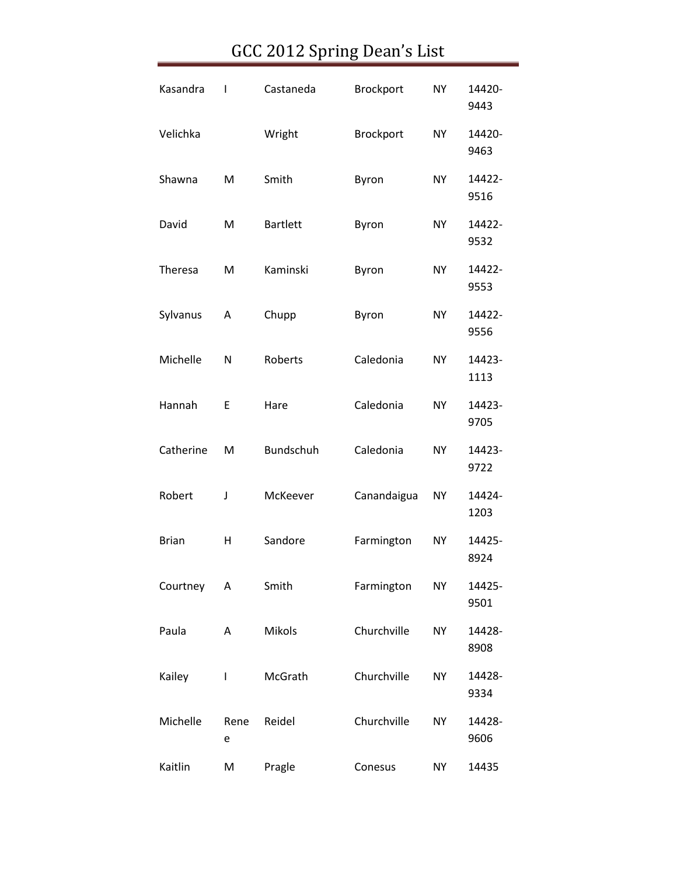| Kasandra     | $\mathsf{l}$ | Castaneda        | Brockport   | <b>NY</b> | 14420-<br>9443 |
|--------------|--------------|------------------|-------------|-----------|----------------|
| Velichka     |              | Wright           | Brockport   | <b>NY</b> | 14420-<br>9463 |
| Shawna       | M            | Smith            | Byron       | <b>NY</b> | 14422-<br>9516 |
| David        | M            | <b>Bartlett</b>  | Byron       | <b>NY</b> | 14422-<br>9532 |
| Theresa      | M            | Kaminski         | Byron       | <b>NY</b> | 14422-<br>9553 |
| Sylvanus     | Α            | Chupp            | Byron       | <b>NY</b> | 14422-<br>9556 |
| Michelle     | N            | Roberts          | Caledonia   | <b>NY</b> | 14423-<br>1113 |
| Hannah       | E            | Hare             | Caledonia   | <b>NY</b> | 14423-<br>9705 |
| Catherine    | M            | <b>Bundschuh</b> | Caledonia   | <b>NY</b> | 14423-<br>9722 |
| Robert       | J            | McKeever         | Canandaigua | <b>NY</b> | 14424-<br>1203 |
| <b>Brian</b> | н            | Sandore          | Farmington  | <b>NY</b> | 14425-<br>8924 |
| Courtney     | A            | Smith            | Farmington  | <b>NY</b> | 14425-<br>9501 |
| Paula        | Α            | <b>Mikols</b>    | Churchville | <b>NY</b> | 14428-<br>8908 |
| Kailey       | $\mathbf{I}$ | McGrath          | Churchville | <b>NY</b> | 14428-<br>9334 |
| Michelle     | Rene<br>е    | Reidel           | Churchville | <b>NY</b> | 14428-<br>9606 |
| Kaitlin      | M            | Pragle           | Conesus     | <b>NY</b> | 14435          |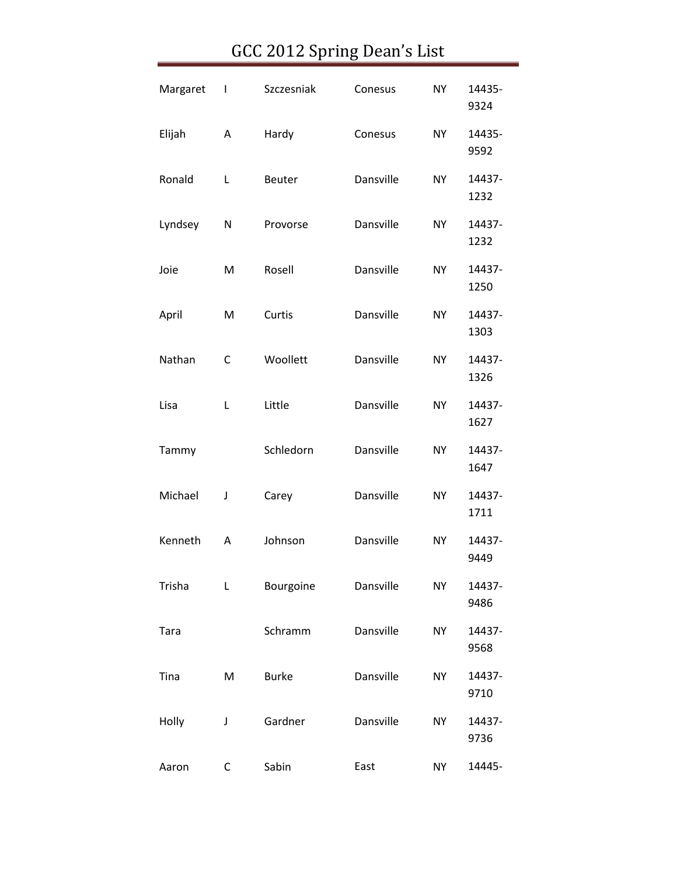| Margaret | $\begin{array}{c} \hline \end{array}$ | Szczesniak   | Conesus   | <b>NY</b> | 14435-<br>9324 |
|----------|---------------------------------------|--------------|-----------|-----------|----------------|
| Elijah   | А                                     | Hardy        | Conesus   | <b>NY</b> | 14435-<br>9592 |
| Ronald   | Г                                     | Beuter       | Dansville | <b>NY</b> | 14437-<br>1232 |
| Lyndsey  | N                                     | Provorse     | Dansville | <b>NY</b> | 14437-<br>1232 |
| Joie     | M                                     | Rosell       | Dansville | <b>NY</b> | 14437-<br>1250 |
| April    | M                                     | Curtis       | Dansville | <b>NY</b> | 14437-<br>1303 |
| Nathan   | C                                     | Woollett     | Dansville | <b>NY</b> | 14437-<br>1326 |
| Lisa     | L                                     | Little       | Dansville | <b>NY</b> | 14437-<br>1627 |
| Tammy    |                                       | Schledorn    | Dansville | <b>NY</b> | 14437-<br>1647 |
| Michael  | J                                     | Carey        | Dansville | <b>NY</b> | 14437-<br>1711 |
| Kenneth  | A                                     | Johnson      | Dansville | <b>NY</b> | 14437-<br>9449 |
| Trisha   | Г                                     | Bourgoine    | Dansville | <b>NY</b> | 14437-<br>9486 |
| Tara     |                                       | Schramm      | Dansville | <b>NY</b> | 14437-<br>9568 |
| Tina     | M                                     | <b>Burke</b> | Dansville | <b>NY</b> | 14437-<br>9710 |
| Holly    | J                                     | Gardner      | Dansville | <b>NY</b> | 14437-<br>9736 |
| Aaron    | C                                     | Sabin        | East      | <b>NY</b> | 14445-         |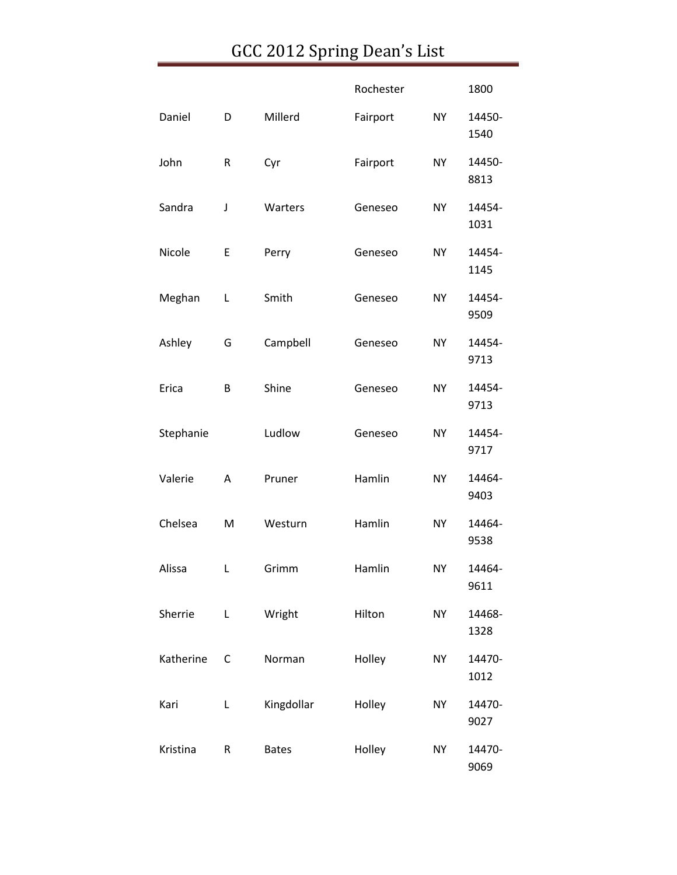|           |   |              | Rochester |           | 1800           |
|-----------|---|--------------|-----------|-----------|----------------|
| Daniel    | D | Millerd      | Fairport  | <b>NY</b> | 14450-<br>1540 |
| John      | R | Cyr          | Fairport  | <b>NY</b> | 14450-<br>8813 |
| Sandra    | J | Warters      | Geneseo   | <b>NY</b> | 14454-<br>1031 |
| Nicole    | E | Perry        | Geneseo   | <b>NY</b> | 14454-<br>1145 |
| Meghan    | Г | Smith        | Geneseo   | <b>NY</b> | 14454-<br>9509 |
| Ashley    | G | Campbell     | Geneseo   | <b>NY</b> | 14454-<br>9713 |
| Erica     | B | Shine        | Geneseo   | <b>NY</b> | 14454-<br>9713 |
| Stephanie |   | Ludlow       | Geneseo   | <b>NY</b> | 14454-<br>9717 |
| Valerie   | Α | Pruner       | Hamlin    | <b>NY</b> | 14464-<br>9403 |
| Chelsea   | M | Westurn      | Hamlin    | <b>NY</b> | 14464-<br>9538 |
| Alissa    | L | Grimm        | Hamlin    | <b>NY</b> | 14464-<br>9611 |
| Sherrie   | L | Wright       | Hilton    | <b>NY</b> | 14468-<br>1328 |
| Katherine | С | Norman       | Holley    | <b>NY</b> | 14470-<br>1012 |
| Kari      | L | Kingdollar   | Holley    | <b>NY</b> | 14470-<br>9027 |
| Kristina  | R | <b>Bates</b> | Holley    | <b>NY</b> | 14470-<br>9069 |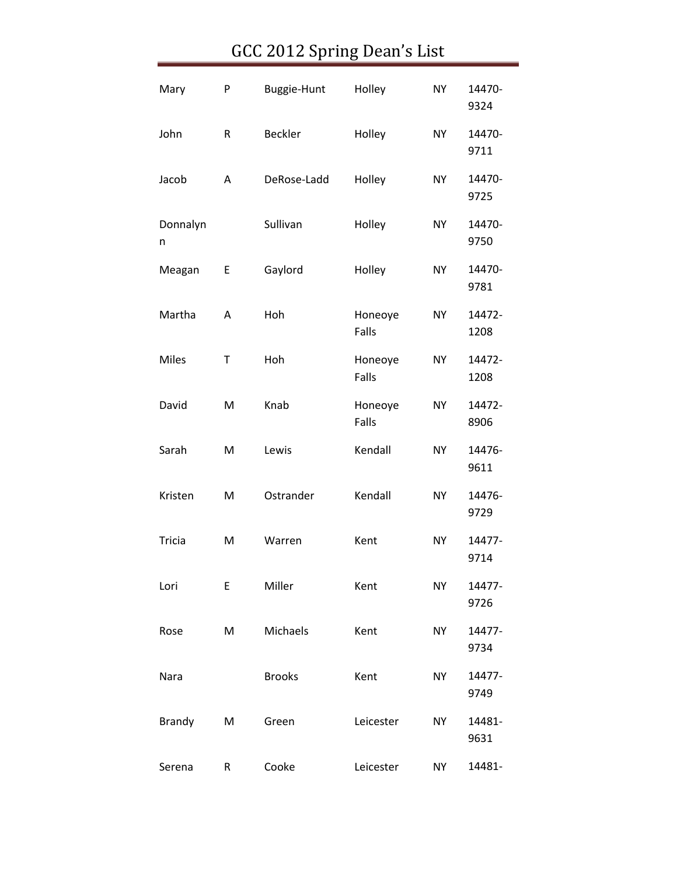| Mary          | P | <b>Buggie-Hunt</b> | Holley           | <b>NY</b> | 14470-<br>9324 |
|---------------|---|--------------------|------------------|-----------|----------------|
| John          | R | <b>Beckler</b>     | Holley           | <b>NY</b> | 14470-<br>9711 |
| Jacob         | Α | DeRose-Ladd        | Holley           | <b>NY</b> | 14470-<br>9725 |
| Donnalyn<br>n |   | Sullivan           | Holley           | <b>NY</b> | 14470-<br>9750 |
| Meagan        | E | Gaylord            | Holley           | <b>NY</b> | 14470-<br>9781 |
| Martha        | Α | Hoh                | Honeoye<br>Falls | <b>NY</b> | 14472-<br>1208 |
| <b>Miles</b>  | Τ | Hoh                | Honeoye<br>Falls | <b>NY</b> | 14472-<br>1208 |
| David         | M | Knab               | Honeoye<br>Falls | <b>NY</b> | 14472-<br>8906 |
| Sarah         | M | Lewis              | Kendall          | <b>NY</b> | 14476-<br>9611 |
| Kristen       | M | Ostrander          | Kendall          | <b>NY</b> | 14476-<br>9729 |
| Tricia        | M | Warren             | Kent             | <b>NY</b> | 14477-<br>9714 |
| Lori          | Ε | Miller             | Kent             | <b>NY</b> | 14477-<br>9726 |
| Rose          | M | Michaels           | Kent             | <b>NY</b> | 14477-<br>9734 |
| Nara          |   | <b>Brooks</b>      | Kent             | <b>NY</b> | 14477-<br>9749 |
| <b>Brandy</b> | M | Green              | Leicester        | <b>NY</b> | 14481-<br>9631 |
| Serena        | R | Cooke              | Leicester        | <b>NY</b> | 14481-         |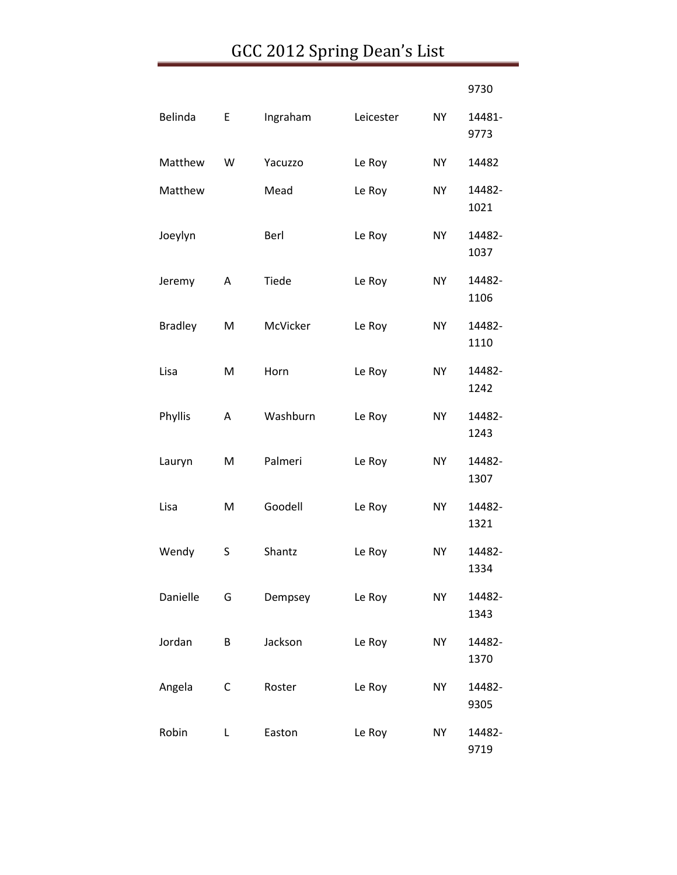|                |   |          |           |           | 9730           |
|----------------|---|----------|-----------|-----------|----------------|
| Belinda        | E | Ingraham | Leicester | <b>NY</b> | 14481-<br>9773 |
| Matthew        | W | Yacuzzo  | Le Roy    | <b>NY</b> | 14482          |
| Matthew        |   | Mead     | Le Roy    | <b>NY</b> | 14482-<br>1021 |
| Joeylyn        |   | Berl     | Le Roy    | <b>NY</b> | 14482-<br>1037 |
| Jeremy         | A | Tiede    | Le Roy    | <b>NY</b> | 14482-<br>1106 |
| <b>Bradley</b> | M | McVicker | Le Roy    | <b>NY</b> | 14482-<br>1110 |
| Lisa           | M | Horn     | Le Roy    | <b>NY</b> | 14482-<br>1242 |
| Phyllis        | Α | Washburn | Le Roy    | <b>NY</b> | 14482-<br>1243 |
| Lauryn         | M | Palmeri  | Le Roy    | <b>NY</b> | 14482-<br>1307 |
| Lisa           | M | Goodell  | Le Roy    | <b>NY</b> | 14482-<br>1321 |
| Wendy          | S | Shantz   | Le Roy    | <b>NY</b> | 14482-<br>1334 |
| Danielle       | G | Dempsey  | Le Roy    | <b>NY</b> | 14482-<br>1343 |
| Jordan         | B | Jackson  | Le Roy    | <b>NY</b> | 14482-<br>1370 |
| Angela         | C | Roster   | Le Roy    | <b>NY</b> | 14482-<br>9305 |
| Robin          | L | Easton   | Le Roy    | <b>NY</b> | 14482-<br>9719 |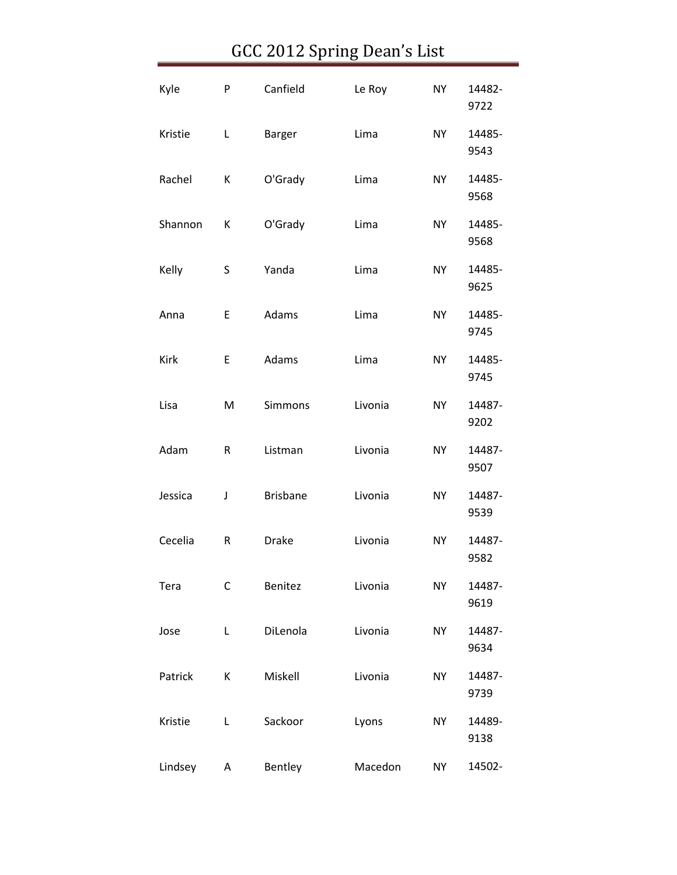| Kyle    | P | Canfield        | Le Roy  | <b>NY</b> | 14482-<br>9722 |
|---------|---|-----------------|---------|-----------|----------------|
| Kristie | Г | Barger          | Lima    | <b>NY</b> | 14485-<br>9543 |
| Rachel  | К | O'Grady         | Lima    | <b>NY</b> | 14485-<br>9568 |
| Shannon | К | O'Grady         | Lima    | <b>NY</b> | 14485-<br>9568 |
| Kelly   | S | Yanda           | Lima    | <b>NY</b> | 14485-<br>9625 |
| Anna    | Ε | Adams           | Lima    | <b>NY</b> | 14485-<br>9745 |
| Kirk    | E | Adams           | Lima    | <b>NY</b> | 14485-<br>9745 |
| Lisa    | M | Simmons         | Livonia | <b>NY</b> | 14487-<br>9202 |
| Adam    | R | Listman         | Livonia | <b>NY</b> | 14487-<br>9507 |
| Jessica | J | <b>Brisbane</b> | Livonia | <b>NY</b> | 14487-<br>9539 |
| Cecelia | R | <b>Drake</b>    | Livonia | <b>NY</b> | 14487-<br>9582 |
| Tera    | C | Benitez         | Livonia | <b>NY</b> | 14487-<br>9619 |
| Jose    | L | DiLenola        | Livonia | <b>NY</b> | 14487-<br>9634 |
| Patrick | К | Miskell         | Livonia | <b>NY</b> | 14487-<br>9739 |
| Kristie | Г | Sackoor         | Lyons   | <b>NY</b> | 14489-<br>9138 |
| Lindsey | Α | Bentley         | Macedon | <b>NY</b> | 14502-         |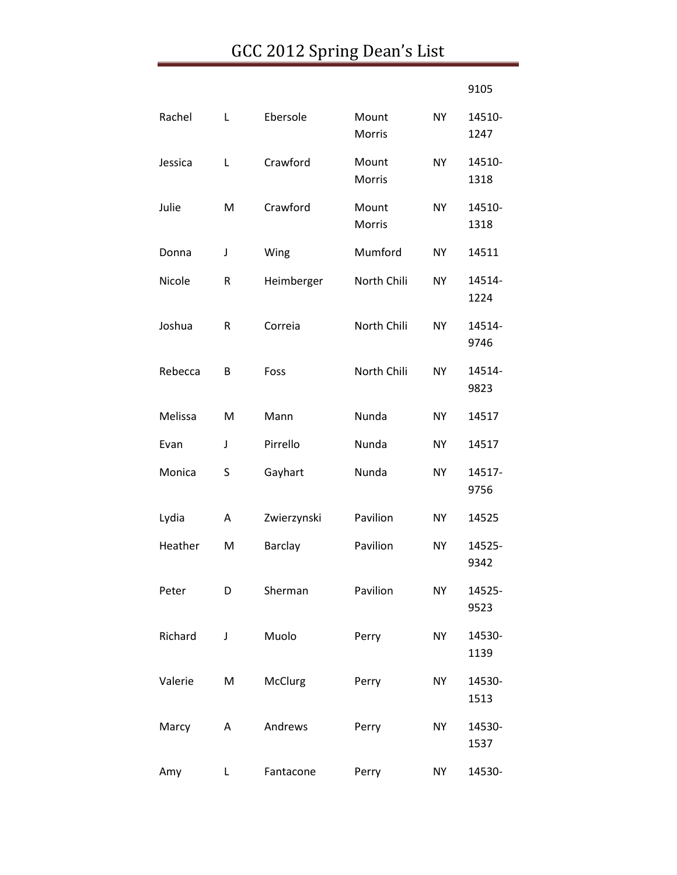|         |           | GCC 2012 Spring Dean's List |                        |           |                |
|---------|-----------|-----------------------------|------------------------|-----------|----------------|
|         |           |                             |                        |           | 9105           |
| Rachel  | Г         | Ebersole                    | Mount<br><b>Morris</b> | <b>NY</b> | 14510-<br>1247 |
| Jessica | L         | Crawford                    | Mount<br>Morris        | <b>NY</b> | 14510-<br>1318 |
| Julie   | M         | Crawford                    | Mount<br>Morris        | <b>NY</b> | 14510-<br>1318 |
| Donna   | J         | Wing                        | Mumford                | <b>NY</b> | 14511          |
| Nicole  | ${\sf R}$ | Heimberger                  | North Chili            | <b>NY</b> | 14514-<br>1224 |
| Joshua  | ${\sf R}$ | Correia                     | North Chili            | <b>NY</b> | 14514-<br>9746 |
| Rebecca | B         | Foss                        | North Chili            | <b>NY</b> | 14514-<br>9823 |
| Melissa | M         | Mann                        | Nunda                  | <b>NY</b> | 14517          |
| Evan    | J         | Pirrello                    | Nunda                  | <b>NY</b> | 14517          |
| Monica  | S         | Gayhart                     | Nunda                  | <b>NY</b> | 14517-<br>9756 |
| Lydia   | Α         | Zwierzynski                 | Pavilion               | <b>NY</b> | 14525          |
| Heather | M         | Barclay                     | Pavilion               | <b>NY</b> | 14525-<br>9342 |
| Peter   | D         | Sherman                     | Pavilion               | <b>NY</b> | 14525-<br>9523 |
| Richard | J         | Muolo                       | Perry                  | <b>NY</b> | 14530-<br>1139 |
| Valerie | M         | McClurg                     | Perry                  | <b>NY</b> | 14530-<br>1513 |
| Marcy   | Α         | Andrews                     | Perry                  | <b>NY</b> | 14530-<br>1537 |
| Amy     | L         | Fantacone                   | Perry                  | <b>NY</b> | 14530-         |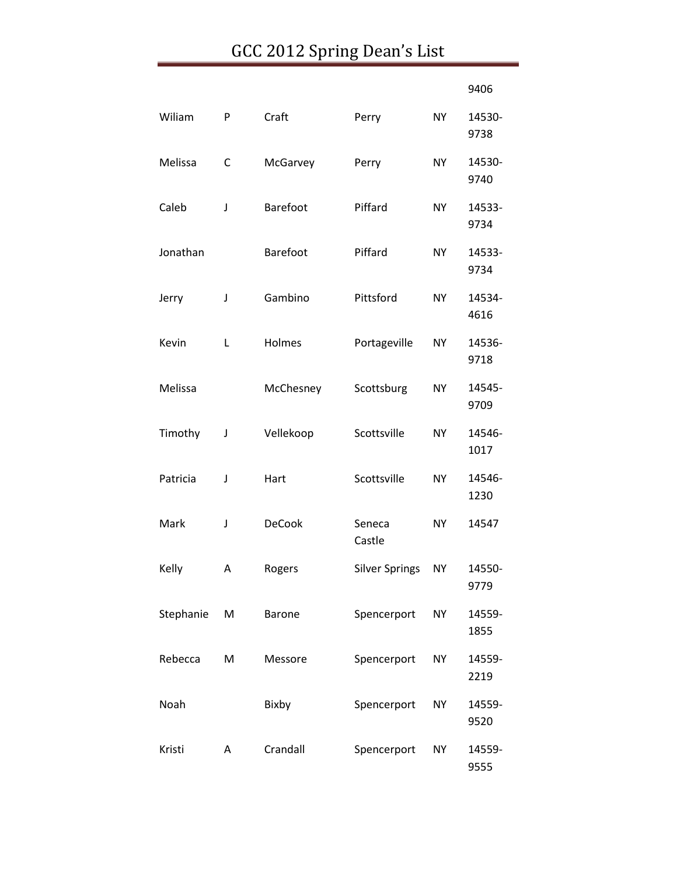|           |   |                 |                       |           | 9406           |
|-----------|---|-----------------|-----------------------|-----------|----------------|
| Wiliam    | P | Craft           | Perry                 | <b>NY</b> | 14530-<br>9738 |
| Melissa   | C | McGarvey        | Perry                 | <b>NY</b> | 14530-<br>9740 |
| Caleb     | J | Barefoot        | Piffard               | <b>NY</b> | 14533-<br>9734 |
| Jonathan  |   | <b>Barefoot</b> | Piffard               | <b>NY</b> | 14533-<br>9734 |
| Jerry     | J | Gambino         | Pittsford             | <b>NY</b> | 14534-<br>4616 |
| Kevin     | L | Holmes          | Portageville          | <b>NY</b> | 14536-<br>9718 |
| Melissa   |   | McChesney       | Scottsburg            | <b>NY</b> | 14545-<br>9709 |
| Timothy   | J | Vellekoop       | Scottsville           | <b>NY</b> | 14546-<br>1017 |
| Patricia  | J | Hart            | Scottsville           | <b>NY</b> | 14546-<br>1230 |
| Mark      | J | <b>DeCook</b>   | Seneca<br>Castle      | <b>NY</b> | 14547          |
| Kelly     | Α | Rogers          | <b>Silver Springs</b> | <b>NY</b> | 14550-<br>9779 |
| Stephanie | M | <b>Barone</b>   | Spencerport           | <b>NY</b> | 14559-<br>1855 |
| Rebecca   | M | Messore         | Spencerport           | <b>NY</b> | 14559-<br>2219 |
| Noah      |   | Bixby           | Spencerport           | <b>NY</b> | 14559-<br>9520 |
| Kristi    | A | Crandall        | Spencerport           | <b>NY</b> | 14559-<br>9555 |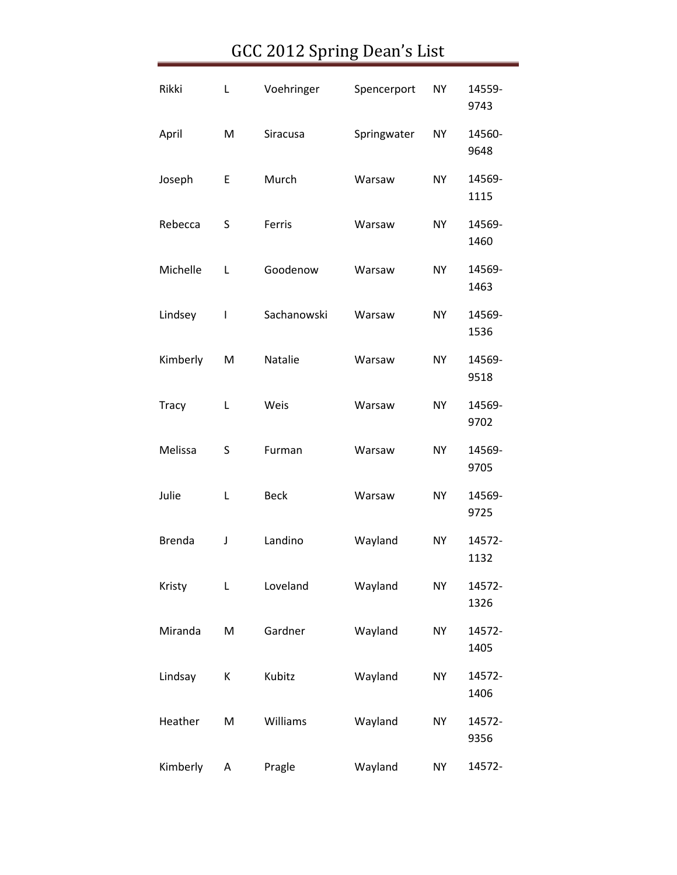| Rikki         | L | Voehringer  | Spencerport | <b>NY</b> | 14559-<br>9743 |
|---------------|---|-------------|-------------|-----------|----------------|
| April         | M | Siracusa    | Springwater | <b>NY</b> | 14560-<br>9648 |
| Joseph        | E | Murch       | Warsaw      | <b>NY</b> | 14569-<br>1115 |
| Rebecca       | S | Ferris      | Warsaw      | <b>NY</b> | 14569-<br>1460 |
| Michelle      | L | Goodenow    | Warsaw      | <b>NY</b> | 14569-<br>1463 |
| Lindsey       | I | Sachanowski | Warsaw      | <b>NY</b> | 14569-<br>1536 |
| Kimberly      | M | Natalie     | Warsaw      | <b>NY</b> | 14569-<br>9518 |
| <b>Tracy</b>  | Г | Weis        | Warsaw      | <b>NY</b> | 14569-<br>9702 |
| Melissa       | S | Furman      | Warsaw      | <b>NY</b> | 14569-<br>9705 |
| Julie         | L | <b>Beck</b> | Warsaw      | <b>NY</b> | 14569-<br>9725 |
| <b>Brenda</b> | J | Landino     | Wayland     | <b>NY</b> | 14572-<br>1132 |
| Kristy        | L | Loveland    | Wayland     | <b>NY</b> | 14572-<br>1326 |
| Miranda       | M | Gardner     | Wayland     | <b>NY</b> | 14572-<br>1405 |
| Lindsay       | К | Kubitz      | Wayland     | <b>NY</b> | 14572-<br>1406 |
| Heather       | M | Williams    | Wayland     | <b>NY</b> | 14572-<br>9356 |
| Kimberly      | Α | Pragle      | Wayland     | <b>NY</b> | 14572-         |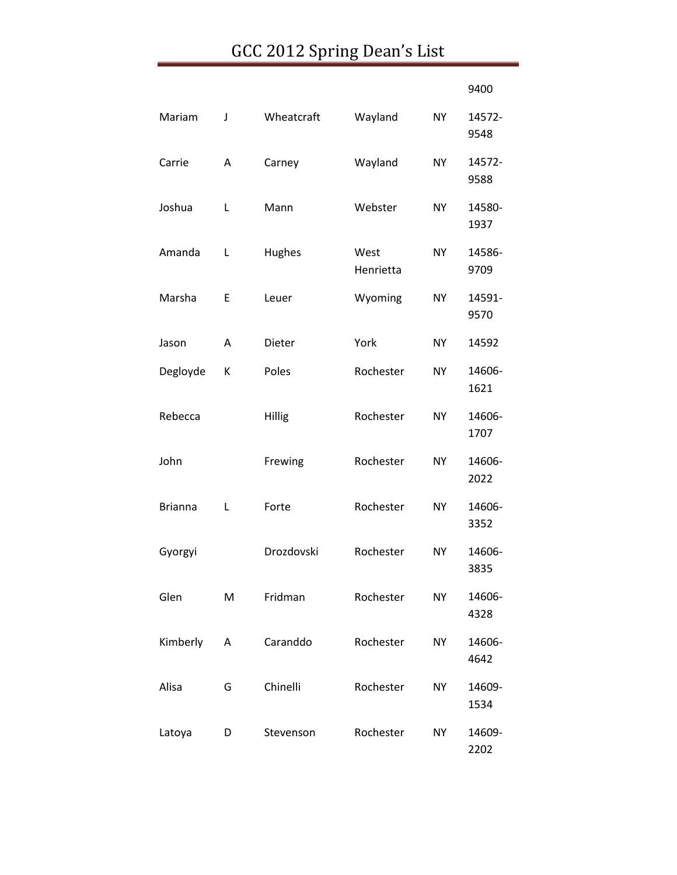|                |   |               |                   |           | 9400           |
|----------------|---|---------------|-------------------|-----------|----------------|
| Mariam         | J | Wheatcraft    | Wayland           | <b>NY</b> | 14572-<br>9548 |
| Carrie         | Α | Carney        | Wayland           | <b>NY</b> | 14572-<br>9588 |
| Joshua         | L | Mann          | Webster           | <b>NY</b> | 14580-<br>1937 |
| Amanda         | L | Hughes        | West<br>Henrietta | <b>NY</b> | 14586-<br>9709 |
| Marsha         | Ε | Leuer         | Wyoming           | NY        | 14591-<br>9570 |
| Jason          | A | <b>Dieter</b> | York              | <b>NY</b> | 14592          |
| Degloyde       | К | Poles         | Rochester         | <b>NY</b> | 14606-<br>1621 |
| Rebecca        |   | Hillig        | Rochester         | <b>NY</b> | 14606-<br>1707 |
| John           |   | Frewing       | Rochester         | <b>NY</b> | 14606-<br>2022 |
| <b>Brianna</b> | L | Forte         | Rochester         | <b>NY</b> | 14606-<br>3352 |
| Gyorgyi        |   | Drozdovski    | Rochester         | <b>NY</b> | 14606-<br>3835 |
| Glen           | M | Fridman       | Rochester         | <b>NY</b> | 14606-<br>4328 |
| Kimberly       | Α | Caranddo      | Rochester         | <b>NY</b> | 14606-<br>4642 |
| Alisa          | G | Chinelli      | Rochester         | <b>NY</b> | 14609-<br>1534 |
| Latoya         | D | Stevenson     | Rochester         | <b>NY</b> | 14609-<br>2202 |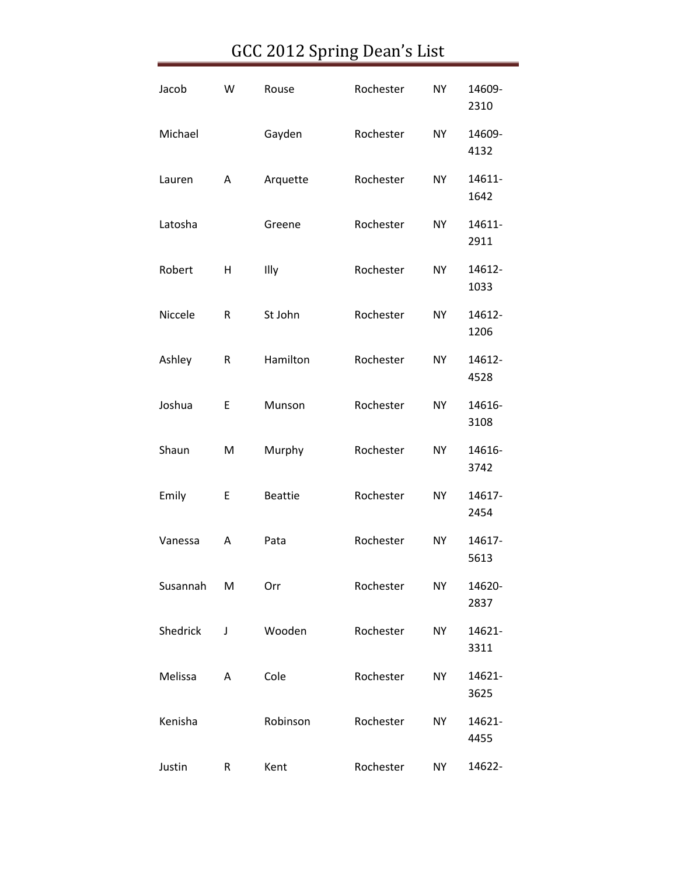| Jacob    | W         | Rouse          | Rochester | <b>NY</b> | 14609-<br>2310 |
|----------|-----------|----------------|-----------|-----------|----------------|
| Michael  |           | Gayden         | Rochester | <b>NY</b> | 14609-<br>4132 |
| Lauren   | Α         | Arquette       | Rochester | <b>NY</b> | 14611-<br>1642 |
| Latosha  |           | Greene         | Rochester | <b>NY</b> | 14611-<br>2911 |
| Robert   | н         | Illy           | Rochester | <b>NY</b> | 14612-<br>1033 |
| Niccele  | R         | St John        | Rochester | <b>NY</b> | 14612-<br>1206 |
| Ashley   | R         | Hamilton       | Rochester | <b>NY</b> | 14612-<br>4528 |
| Joshua   | E         | Munson         | Rochester | <b>NY</b> | 14616-<br>3108 |
| Shaun    | M         | Murphy         | Rochester | <b>NY</b> | 14616-<br>3742 |
| Emily    | Ε         | <b>Beattie</b> | Rochester | <b>NY</b> | 14617-<br>2454 |
| Vanessa  | Α         | Pata           | Rochester | NY.       | 14617-<br>5613 |
| Susannah | M         | Orr            | Rochester | <b>NY</b> | 14620-<br>2837 |
| Shedrick | J         | Wooden         | Rochester | <b>NY</b> | 14621-<br>3311 |
| Melissa  | A         | Cole           | Rochester | <b>NY</b> | 14621-<br>3625 |
| Kenisha  |           | Robinson       | Rochester | <b>NY</b> | 14621-<br>4455 |
| Justin   | ${\sf R}$ | Kent           | Rochester | <b>NY</b> | 14622-         |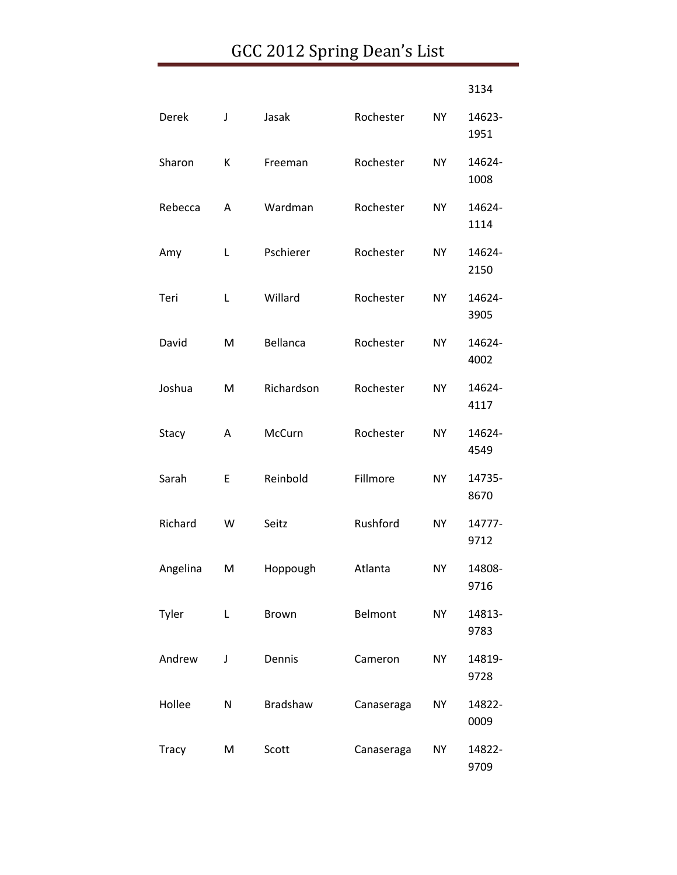|              |   |                 |            |           | 3134           |
|--------------|---|-----------------|------------|-----------|----------------|
| Derek        | J | Jasak           | Rochester  | <b>NY</b> | 14623-<br>1951 |
| Sharon       | К | Freeman         | Rochester  | <b>NY</b> | 14624-<br>1008 |
| Rebecca      | Α | Wardman         | Rochester  | <b>NY</b> | 14624-<br>1114 |
| Amy          | Г | Pschierer       | Rochester  | <b>NY</b> | 14624-<br>2150 |
| Teri         | Г | Willard         | Rochester  | <b>NY</b> | 14624-<br>3905 |
| David        | M | Bellanca        | Rochester  | <b>NY</b> | 14624-<br>4002 |
| Joshua       | M | Richardson      | Rochester  | <b>NY</b> | 14624-<br>4117 |
| Stacy        | Α | McCurn          | Rochester  | <b>NY</b> | 14624-<br>4549 |
| Sarah        | E | Reinbold        | Fillmore   | <b>NY</b> | 14735-<br>8670 |
| Richard      | W | Seitz           | Rushford   | <b>NY</b> | 14777-<br>9712 |
| Angelina     | M | Hoppough        | Atlanta    | <b>NY</b> | 14808-<br>9716 |
| Tyler        | L | Brown           | Belmont    | <b>NY</b> | 14813-<br>9783 |
| Andrew       | J | Dennis          | Cameron    | <b>NY</b> | 14819-<br>9728 |
| Hollee       | N | <b>Bradshaw</b> | Canaseraga | <b>NY</b> | 14822-<br>0009 |
| <b>Tracy</b> | M | Scott           | Canaseraga | <b>NY</b> | 14822-<br>9709 |